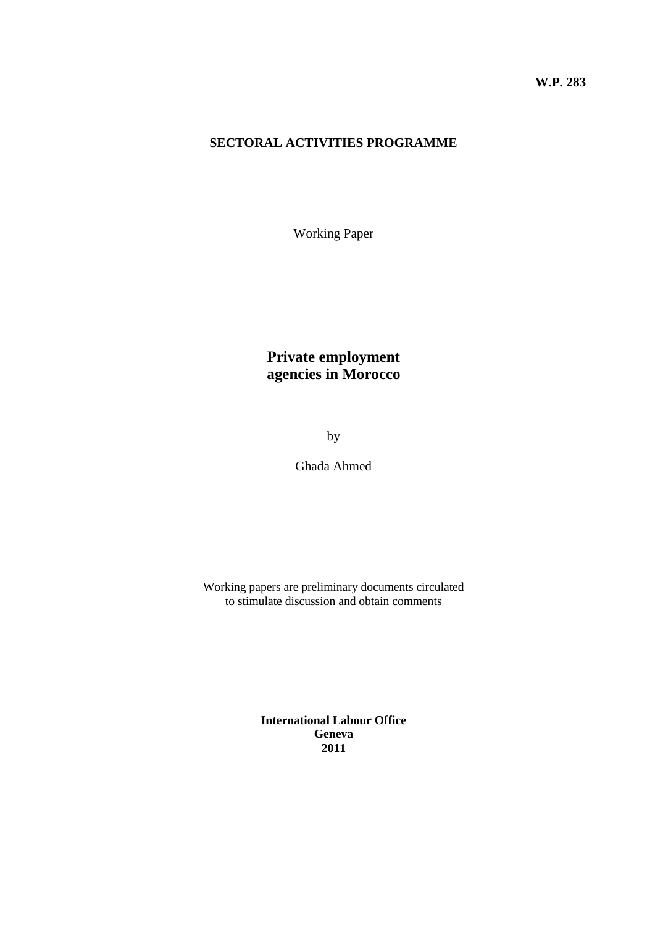#### **SECTORAL ACTIVITIES PROGRAMME**

Working Paper

# **Private employment agencies in Morocco**

by

Ghada Ahmed

Working papers are preliminary documents circulated to stimulate discussion and obtain comments

> **International Labour Office Geneva 2011**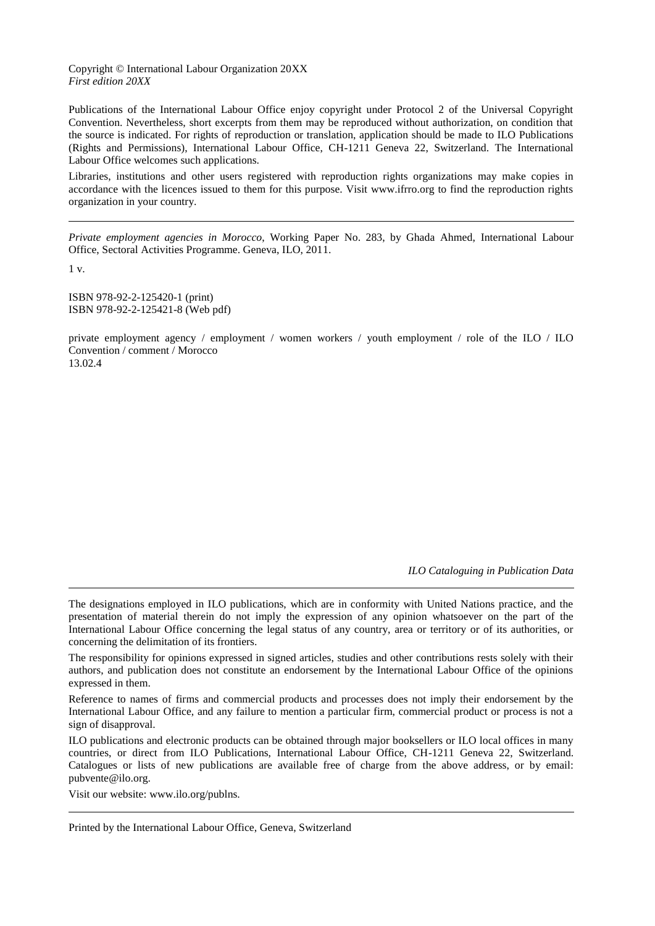#### Copyright © International Labour Organization 20XX *First edition 20XX*

Publications of the International Labour Office enjoy copyright under Protocol 2 of the Universal Copyright Convention. Nevertheless, short excerpts from them may be reproduced without authorization, on condition that the source is indicated. For rights of reproduction or translation, application should be made to ILO Publications (Rights and Permissions), International Labour Office, CH-1211 Geneva 22, Switzerland. The International Labour Office welcomes such applications.

Libraries, institutions and other users registered with reproduction rights organizations may make copies in accordance with the licences issued to them for this purpose. Visit www.ifrro.org to find the reproduction rights organization in your country.

*Private employment agencies in Morocco*, Working Paper No. 283, by Ghada Ahmed, International Labour Office, Sectoral Activities Programme. Geneva, ILO, 2011.

1 v.

ISBN 978-92-2-125420-1 (print) ISBN 978-92-2-125421-8 (Web pdf)

private employment agency / employment / women workers / youth employment / role of the ILO / ILO Convention / comment / Morocco 13.02.4

*ILO Cataloguing in Publication Data*

The designations employed in ILO publications, which are in conformity with United Nations practice, and the presentation of material therein do not imply the expression of any opinion whatsoever on the part of the International Labour Office concerning the legal status of any country, area or territory or of its authorities, or concerning the delimitation of its frontiers.

The responsibility for opinions expressed in signed articles, studies and other contributions rests solely with their authors, and publication does not constitute an endorsement by the International Labour Office of the opinions expressed in them.

Reference to names of firms and commercial products and processes does not imply their endorsement by the International Labour Office, and any failure to mention a particular firm, commercial product or process is not a sign of disapproval.

ILO publications and electronic products can be obtained through major booksellers or ILO local offices in many countries, or direct from ILO Publications, International Labour Office, CH-1211 Geneva 22, Switzerland. Catalogues or lists of new publications are available free of charge from the above address, or by email: pubvente@ilo.org.

Visit our website: www.ilo.org/publns.

Printed by the International Labour Office, Geneva, Switzerland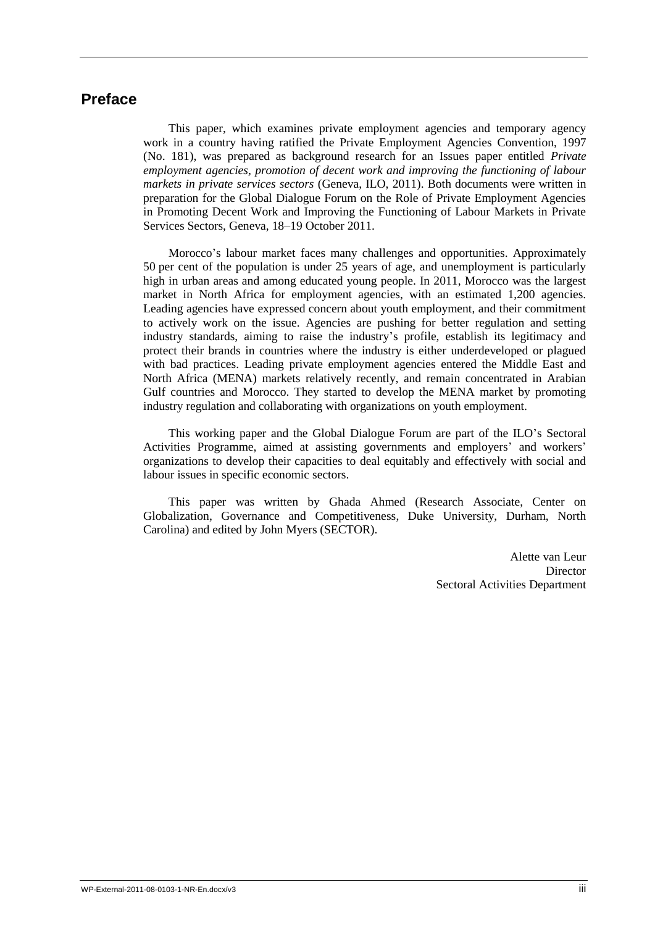# **Preface**

This paper, which examines private employment agencies and temporary agency work in a country having ratified the Private Employment Agencies Convention, 1997 (No. 181), was prepared as background research for an Issues paper entitled *Private employment agencies, promotion of decent work and improving the functioning of labour markets in private services sectors* (Geneva, ILO, 2011). Both documents were written in preparation for the Global Dialogue Forum on the Role of Private Employment Agencies in Promoting Decent Work and Improving the Functioning of Labour Markets in Private Services Sectors, Geneva, 18–19 October 2011.

Morocco's labour market faces many challenges and opportunities. Approximately 50 per cent of the population is under 25 years of age, and unemployment is particularly high in urban areas and among educated young people. In 2011, Morocco was the largest market in North Africa for employment agencies, with an estimated 1,200 agencies. Leading agencies have expressed concern about youth employment, and their commitment to actively work on the issue. Agencies are pushing for better regulation and setting industry standards, aiming to raise the industry's profile, establish its legitimacy and protect their brands in countries where the industry is either underdeveloped or plagued with bad practices. Leading private employment agencies entered the Middle East and North Africa (MENA) markets relatively recently, and remain concentrated in Arabian Gulf countries and Morocco. They started to develop the MENA market by promoting industry regulation and collaborating with organizations on youth employment.

This working paper and the Global Dialogue Forum are part of the ILO's Sectoral Activities Programme, aimed at assisting governments and employers' and workers' organizations to develop their capacities to deal equitably and effectively with social and labour issues in specific economic sectors.

This paper was written by Ghada Ahmed (Research Associate, Center on Globalization, Governance and Competitiveness, Duke University, Durham, North Carolina) and edited by John Myers (SECTOR).

> Alette van Leur Director Sectoral Activities Department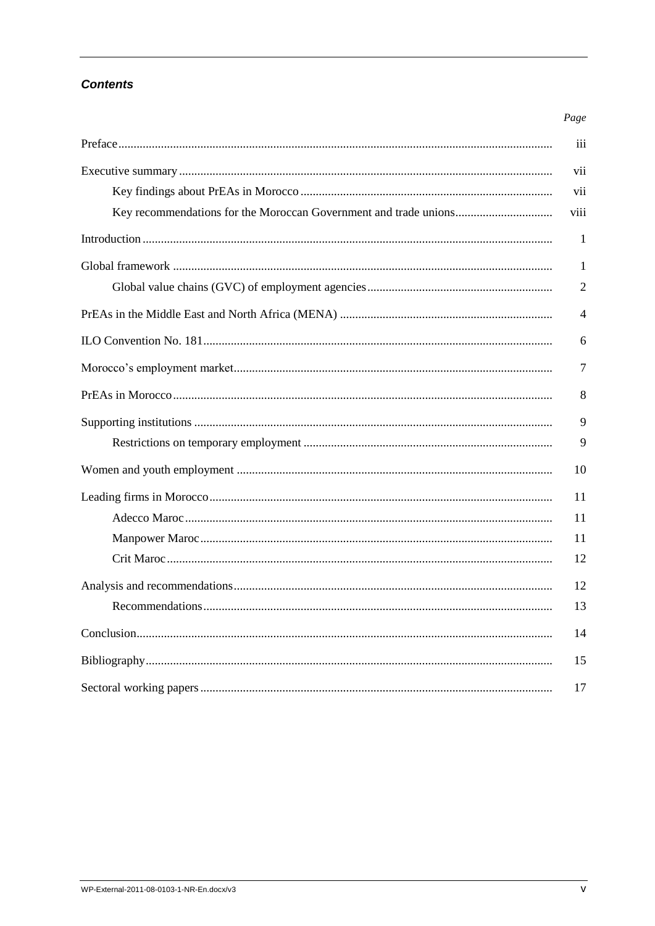### **Contents**

| Page           |
|----------------|
| iii            |
| vii            |
| vii            |
| viii           |
| $\mathbf{1}$   |
| 1              |
| $\overline{2}$ |
| 4              |
| 6              |
| 7              |
| 8              |
| 9              |
| 9              |
| 10             |
| 11             |
| 11             |
| 11             |
| 12             |
| 12             |
| 13             |
| 14             |
| 15             |
| 17             |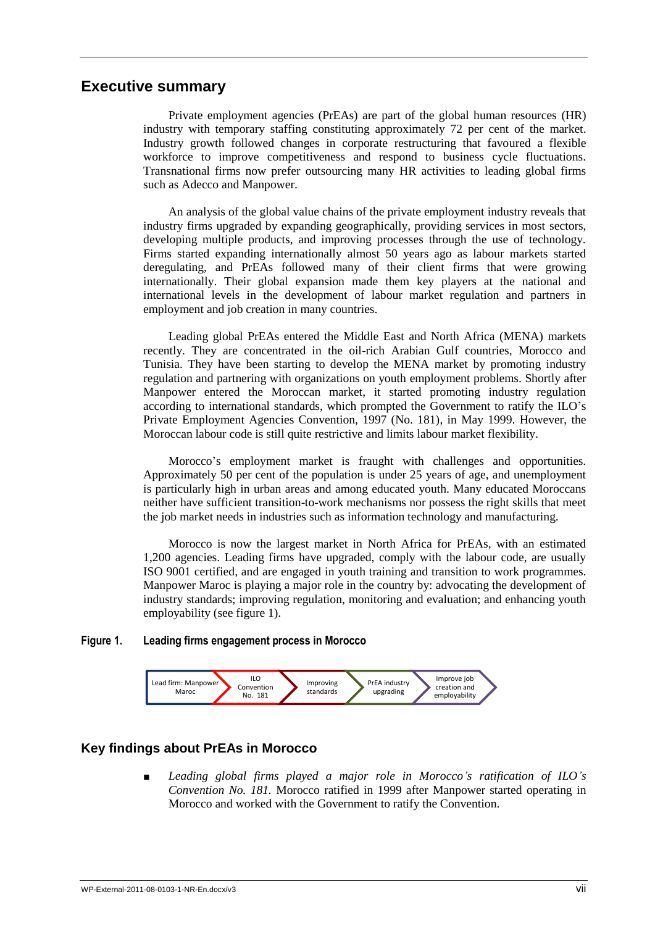### **Executive summary**

Private employment agencies (PrEAs) are part of the global human resources (HR) industry with temporary staffing constituting approximately 72 per cent of the market. Industry growth followed changes in corporate restructuring that favoured a flexible workforce to improve competitiveness and respond to business cycle fluctuations. Transnational firms now prefer outsourcing many HR activities to leading global firms such as Adecco and Manpower.

An analysis of the global value chains of the private employment industry reveals that industry firms upgraded by expanding geographically, providing services in most sectors, developing multiple products, and improving processes through the use of technology. Firms started expanding internationally almost 50 years ago as labour markets started deregulating, and PrEAs followed many of their client firms that were growing internationally. Their global expansion made them key players at the national and international levels in the development of labour market regulation and partners in employment and job creation in many countries.

Leading global PrEAs entered the Middle East and North Africa (MENA) markets recently. They are concentrated in the oil-rich Arabian Gulf countries, Morocco and Tunisia. They have been starting to develop the MENA market by promoting industry regulation and partnering with organizations on youth employment problems. Shortly after Manpower entered the Moroccan market, it started promoting industry regulation according to international standards, which prompted the Government to ratify the ILO's Private Employment Agencies Convention, 1997 (No. 181), in May 1999. However, the Moroccan labour code is still quite restrictive and limits labour market flexibility.

Morocco's employment market is fraught with challenges and opportunities. Approximately 50 per cent of the population is under 25 years of age, and unemployment is particularly high in urban areas and among educated youth. Many educated Moroccans neither have sufficient transition-to-work mechanisms nor possess the right skills that meet the job market needs in industries such as information technology and manufacturing.

Morocco is now the largest market in North Africa for PrEAs, with an estimated 1,200 agencies. Leading firms have upgraded, comply with the labour code, are usually ISO 9001 certified, and are engaged in youth training and transition to work programmes. Manpower Maroc is playing a major role in the country by: advocating the development of industry standards; improving regulation, monitoring and evaluation; and enhancing youth employability (see figure 1).

#### **Figure 1. Leading firms engagement process in Morocco**



#### **Key findings about PrEAs in Morocco**

Leading global firms played a major role in Morocco's ratification of ILO's *Convention No. 181.* Morocco ratified in 1999 after Manpower started operating in Morocco and worked with the Government to ratify the Convention.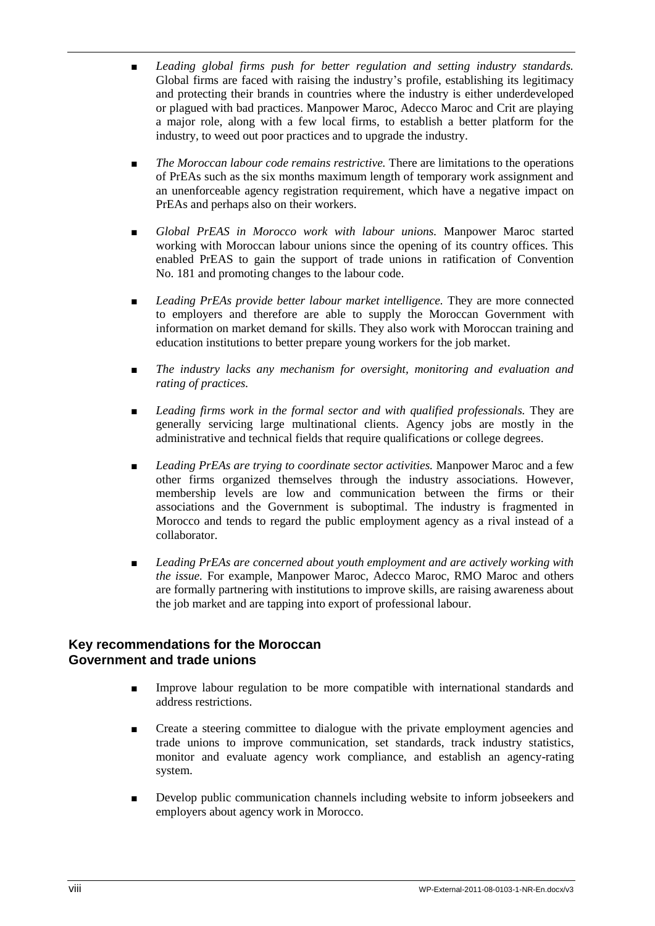- *Leading global firms push for better regulation and setting industry standards.* Global firms are faced with raising the industry's profile, establishing its legitimacy and protecting their brands in countries where the industry is either underdeveloped or plagued with bad practices. Manpower Maroc, Adecco Maroc and Crit are playing a major role, along with a few local firms, to establish a better platform for the industry, to weed out poor practices and to upgrade the industry.
- *The Moroccan labour code remains restrictive.* There are limitations to the operations of PrEAs such as the six months maximum length of temporary work assignment and an unenforceable agency registration requirement, which have a negative impact on PrEAs and perhaps also on their workers.
- *Global PrEAS in Morocco work with labour unions*. Manpower Maroc started working with Moroccan labour unions since the opening of its country offices. This enabled PrEAS to gain the support of trade unions in ratification of Convention No. 181 and promoting changes to the labour code.
- *Leading PrEAs provide better labour market intelligence*. They are more connected to employers and therefore are able to supply the Moroccan Government with information on market demand for skills. They also work with Moroccan training and education institutions to better prepare young workers for the job market.
- The industry lacks any mechanism for oversight, monitoring and evaluation and *rating of practices.*
- *Leading firms work in the formal sector and with qualified professionals.* They are generally servicing large multinational clients. Agency jobs are mostly in the administrative and technical fields that require qualifications or college degrees.
- Leading PrEAs are trying to coordinate sector activities. Manpower Maroc and a few other firms organized themselves through the industry associations. However, membership levels are low and communication between the firms or their associations and the Government is suboptimal. The industry is fragmented in Morocco and tends to regard the public employment agency as a rival instead of a collaborator.
- *Leading PrEAs are concerned about youth employment and are actively working with the issue.* For example, Manpower Maroc, Adecco Maroc, RMO Maroc and others are formally partnering with institutions to improve skills, are raising awareness about the job market and are tapping into export of professional labour.

### **Key recommendations for the Moroccan Government and trade unions**

- Improve labour regulation to be more compatible with international standards and address restrictions.
- Create a steering committee to dialogue with the private employment agencies and trade unions to improve communication, set standards, track industry statistics, monitor and evaluate agency work compliance, and establish an agency-rating system.
- Develop public communication channels including website to inform jobseekers and employers about agency work in Morocco.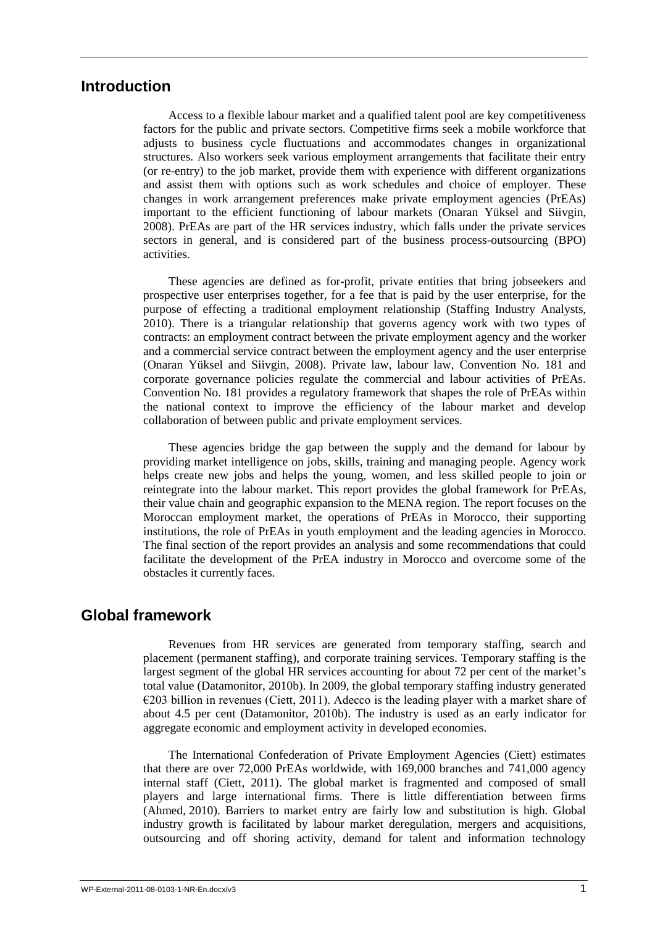### **Introduction**

Access to a flexible labour market and a qualified talent pool are key competitiveness factors for the public and private sectors. Competitive firms seek a mobile workforce that adjusts to business cycle fluctuations and accommodates changes in organizational structures. Also workers seek various employment arrangements that facilitate their entry (or re-entry) to the job market, provide them with experience with different organizations and assist them with options such as work schedules and choice of employer. These changes in work arrangement preferences make private employment agencies (PrEAs) important to the efficient functioning of labour markets (Onaran Yüksel and Siivgin, 2008). PrEAs are part of the HR services industry, which falls under the private services sectors in general, and is considered part of the business process-outsourcing (BPO) activities.

These agencies are defined as for-profit, private entities that bring jobseekers and prospective user enterprises together, for a fee that is paid by the user enterprise, for the purpose of effecting a traditional employment relationship (Staffing Industry Analysts, 2010). There is a triangular relationship that governs agency work with two types of contracts: an employment contract between the private employment agency and the worker and a commercial service contract between the employment agency and the user enterprise (Onaran Yüksel and Siivgin, 2008). Private law, labour law, Convention No. 181 and corporate governance policies regulate the commercial and labour activities of PrEAs. Convention No. 181 provides a regulatory framework that shapes the role of PrEAs within the national context to improve the efficiency of the labour market and develop collaboration of between public and private employment services.

These agencies bridge the gap between the supply and the demand for labour by providing market intelligence on jobs, skills, training and managing people. Agency work helps create new jobs and helps the young, women, and less skilled people to join or reintegrate into the labour market. This report provides the global framework for PrEAs, their value chain and geographic expansion to the MENA region. The report focuses on the Moroccan employment market, the operations of PrEAs in Morocco, their supporting institutions, the role of PrEAs in youth employment and the leading agencies in Morocco. The final section of the report provides an analysis and some recommendations that could facilitate the development of the PrEA industry in Morocco and overcome some of the obstacles it currently faces.

### **Global framework**

Revenues from HR services are generated from temporary staffing, search and placement (permanent staffing), and corporate training services. Temporary staffing is the largest segment of the global HR services accounting for about 72 per cent of the market's total value (Datamonitor, 2010b). In 2009, the global temporary staffing industry generated  $\epsilon$ 203 billion in revenues (Ciett, 2011). Adecco is the leading player with a market share of about 4.5 per cent (Datamonitor, 2010b). The industry is used as an early indicator for aggregate economic and employment activity in developed economies.

The International Confederation of Private Employment Agencies (Ciett) estimates that there are over 72,000 PrEAs worldwide, with 169,000 branches and 741,000 agency internal staff (Ciett, 2011). The global market is fragmented and composed of small players and large international firms. There is little differentiation between firms (Ahmed, 2010). Barriers to market entry are fairly low and substitution is high. Global industry growth is facilitated by labour market deregulation, mergers and acquisitions, outsourcing and off shoring activity, demand for talent and information technology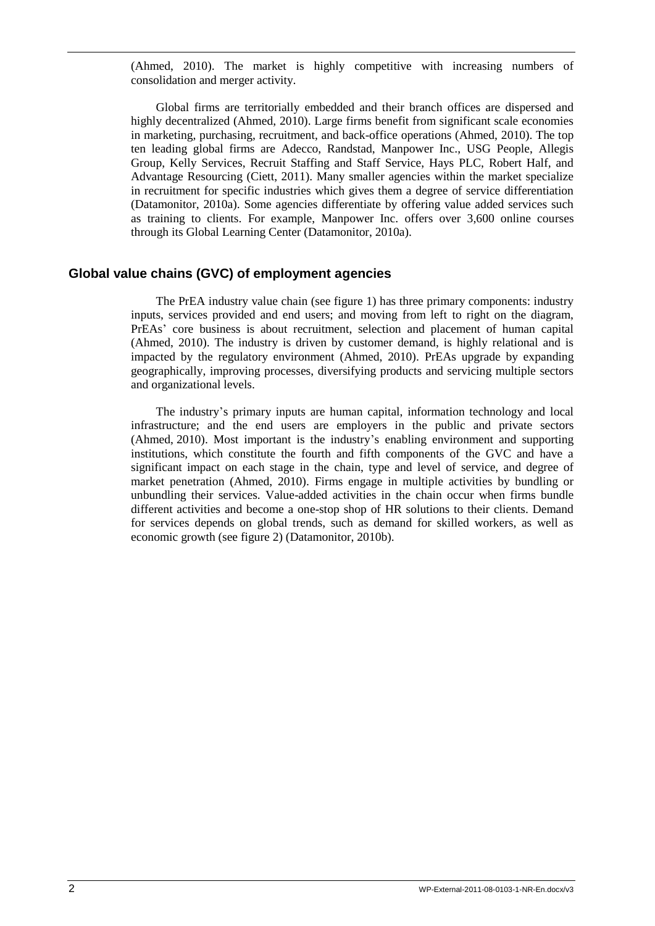(Ahmed, 2010). The market is highly competitive with increasing numbers of consolidation and merger activity.

Global firms are territorially embedded and their branch offices are dispersed and highly decentralized (Ahmed, 2010). Large firms benefit from significant scale economies in marketing, purchasing, recruitment, and back-office operations (Ahmed, 2010). The top ten leading global firms are Adecco, Randstad, Manpower Inc., USG People, Allegis Group, Kelly Services, Recruit Staffing and Staff Service, Hays PLC, Robert Half, and Advantage Resourcing (Ciett, 2011). Many smaller agencies within the market specialize in recruitment for specific industries which gives them a degree of service differentiation (Datamonitor, 2010a). Some agencies differentiate by offering value added services such as training to clients. For example, Manpower Inc. offers over 3,600 online courses through its Global Learning Center (Datamonitor, 2010a).

#### **Global value chains (GVC) of employment agencies**

The PrEA industry value chain (see figure 1) has three primary components: industry inputs, services provided and end users; and moving from left to right on the diagram, PrEAs' core business is about recruitment, selection and placement of human capital (Ahmed, 2010). The industry is driven by customer demand, is highly relational and is impacted by the regulatory environment (Ahmed, 2010). PrEAs upgrade by expanding geographically, improving processes, diversifying products and servicing multiple sectors and organizational levels.

The industry's primary inputs are human capital, information technology and local infrastructure; and the end users are employers in the public and private sectors (Ahmed, 2010). Most important is the industry's enabling environment and supporting institutions, which constitute the fourth and fifth components of the GVC and have a significant impact on each stage in the chain, type and level of service, and degree of market penetration (Ahmed, 2010). Firms engage in multiple activities by bundling or unbundling their services. Value-added activities in the chain occur when firms bundle different activities and become a one-stop shop of HR solutions to their clients. Demand for services depends on global trends, such as demand for skilled workers, as well as economic growth (see figure 2) (Datamonitor, 2010b).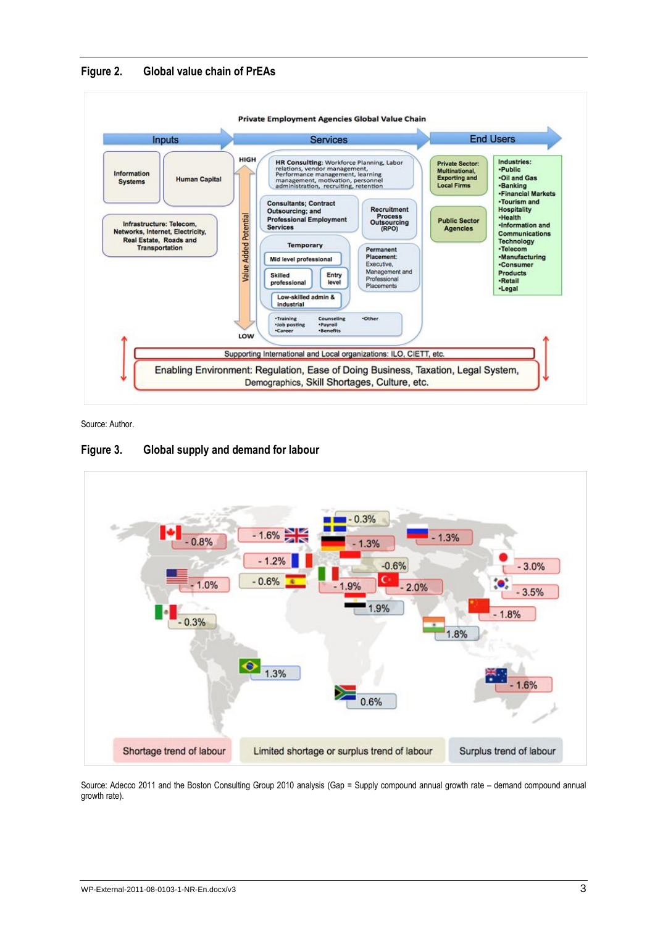



Source: Author.

#### **Figure 3. Global supply and demand for labour**



Source: Adecco 2011 and the Boston Consulting Group 2010 analysis (Gap = Supply compound annual growth rate – demand compound annual growth rate).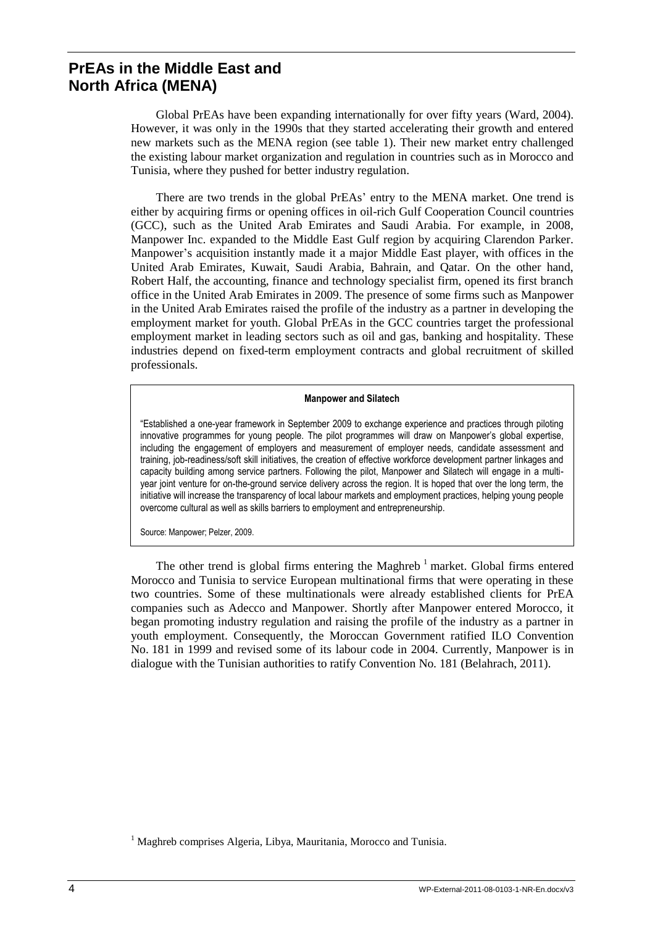# **PrEAs in the Middle East and North Africa (MENA)**

Global PrEAs have been expanding internationally for over fifty years (Ward, 2004). However, it was only in the 1990s that they started accelerating their growth and entered new markets such as the MENA region (see table 1). Their new market entry challenged the existing labour market organization and regulation in countries such as in Morocco and Tunisia, where they pushed for better industry regulation.

There are two trends in the global PrEAs' entry to the MENA market. One trend is either by acquiring firms or opening offices in oil-rich Gulf Cooperation Council countries (GCC), such as the United Arab Emirates and Saudi Arabia. For example, in 2008, Manpower Inc. expanded to the Middle East Gulf region by acquiring Clarendon Parker. Manpower's acquisition instantly made it a major Middle East player, with offices in the United Arab Emirates, Kuwait, Saudi Arabia, Bahrain, and Qatar. On the other hand, Robert Half, the accounting, finance and technology specialist firm, opened its first branch office in the United Arab Emirates in 2009. The presence of some firms such as Manpower in the United Arab Emirates raised the profile of the industry as a partner in developing the employment market for youth. Global PrEAs in the GCC countries target the professional employment market in leading sectors such as oil and gas, banking and hospitality. These industries depend on fixed-term employment contracts and global recruitment of skilled professionals.

#### **Manpower and Silatech**

"Established a one-year framework in September 2009 to exchange experience and practices through piloting innovative programmes for young people. The pilot programmes will draw on Manpower's global expertise, including the engagement of employers and measurement of employer needs, candidate assessment and training, job-readiness/soft skill initiatives, the creation of effective workforce development partner linkages and capacity building among service partners. Following the pilot, Manpower and Silatech will engage in a multiyear joint venture for on-the-ground service delivery across the region. It is hoped that over the long term, the initiative will increase the transparency of local labour markets and employment practices, helping young people overcome cultural as well as skills barriers to employment and entrepreneurship.

Source: Manpower; Pelzer, 2009.

The other trend is global firms entering the Maghreb  $<sup>1</sup>$  market. Global firms entered</sup> Morocco and Tunisia to service European multinational firms that were operating in these two countries. Some of these multinationals were already established clients for PrEA companies such as Adecco and Manpower. Shortly after Manpower entered Morocco, it began promoting industry regulation and raising the profile of the industry as a partner in youth employment. Consequently, the Moroccan Government ratified ILO Convention No. 181 in 1999 and revised some of its labour code in 2004. Currently, Manpower is in dialogue with the Tunisian authorities to ratify Convention No. 181 (Belahrach, 2011).

<sup>&</sup>lt;sup>1</sup> Maghreb comprises Algeria, Libya, Mauritania, Morocco and Tunisia.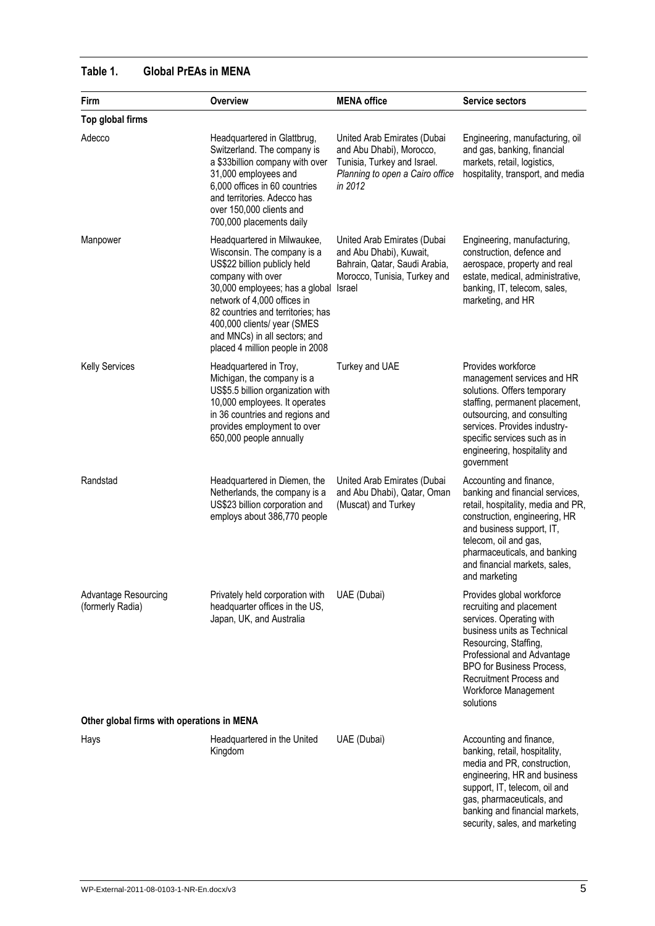# **Table 1. Global PrEAs in MENA**

| Firm                                       | Overview                                                                                                                                                                                                                                                                                                                 | <b>MENA</b> office                                                                                                                   | Service sectors                                                                                                                                                                                                                                                           |
|--------------------------------------------|--------------------------------------------------------------------------------------------------------------------------------------------------------------------------------------------------------------------------------------------------------------------------------------------------------------------------|--------------------------------------------------------------------------------------------------------------------------------------|---------------------------------------------------------------------------------------------------------------------------------------------------------------------------------------------------------------------------------------------------------------------------|
| Top global firms                           |                                                                                                                                                                                                                                                                                                                          |                                                                                                                                      |                                                                                                                                                                                                                                                                           |
| Adecco                                     | Headquartered in Glattbrug,<br>Switzerland. The company is<br>a \$33billion company with over<br>31,000 employees and<br>6,000 offices in 60 countries<br>and territories. Adecco has<br>over 150,000 clients and<br>700,000 placements daily                                                                            | United Arab Emirates (Dubai<br>and Abu Dhabi), Morocco,<br>Tunisia, Turkey and Israel.<br>Planning to open a Cairo office<br>in 2012 | Engineering, manufacturing, oil<br>and gas, banking, financial<br>markets, retail, logistics,<br>hospitality, transport, and media                                                                                                                                        |
| Manpower                                   | Headquartered in Milwaukee,<br>Wisconsin. The company is a<br>US\$22 billion publicly held<br>company with over<br>30,000 employees; has a global<br>network of 4,000 offices in<br>82 countries and territories; has<br>400,000 clients/ year (SMES<br>and MNCs) in all sectors; and<br>placed 4 million people in 2008 | United Arab Emirates (Dubai<br>and Abu Dhabi), Kuwait,<br>Bahrain, Qatar, Saudi Arabia,<br>Morocco, Tunisia, Turkey and<br>Israel    | Engineering, manufacturing,<br>construction, defence and<br>aerospace, property and real<br>estate, medical, administrative,<br>banking, IT, telecom, sales,<br>marketing, and HR                                                                                         |
| <b>Kelly Services</b>                      | Headquartered in Troy,<br>Michigan, the company is a<br>US\$5.5 billion organization with<br>10,000 employees. It operates<br>in 36 countries and regions and<br>provides employment to over<br>650,000 people annually                                                                                                  | Turkey and UAE                                                                                                                       | Provides workforce<br>management services and HR<br>solutions. Offers temporary<br>staffing, permanent placement,<br>outsourcing, and consulting<br>services. Provides industry-<br>specific services such as in<br>engineering, hospitality and<br>government            |
| Randstad                                   | Headquartered in Diemen, the<br>Netherlands, the company is a<br>US\$23 billion corporation and<br>employs about 386,770 people                                                                                                                                                                                          | United Arab Emirates (Dubai<br>and Abu Dhabi), Qatar, Oman<br>(Muscat) and Turkey                                                    | Accounting and finance,<br>banking and financial services,<br>retail, hospitality, media and PR,<br>construction, engineering, HR<br>and business support, IT,<br>telecom, oil and gas,<br>pharmaceuticals, and banking<br>and financial markets, sales,<br>and marketing |
| Advantage Resourcing<br>(formerly Radia)   | Privately held corporation with<br>headquarter offices in the US,<br>Japan, UK, and Australia                                                                                                                                                                                                                            | UAE (Dubai)                                                                                                                          | Provides global workforce<br>recruiting and placement<br>services. Operating with<br>business units as Technical<br>Resourcing, Staffing,<br>Professional and Advantage<br>BPO for Business Process,<br>Recruitment Process and<br>Workforce Management<br>solutions      |
| Other global firms with operations in MENA |                                                                                                                                                                                                                                                                                                                          |                                                                                                                                      |                                                                                                                                                                                                                                                                           |
| Hays                                       | Headquartered in the United<br>Kingdom                                                                                                                                                                                                                                                                                   | UAE (Dubai)                                                                                                                          | Accounting and finance,<br>banking, retail, hospitality,<br>media and PR, construction,<br>engineering, HR and business<br>support, IT, telecom, oil and<br>gas, pharmaceuticals, and<br>banking and financial markets,<br>security, sales, and marketing                 |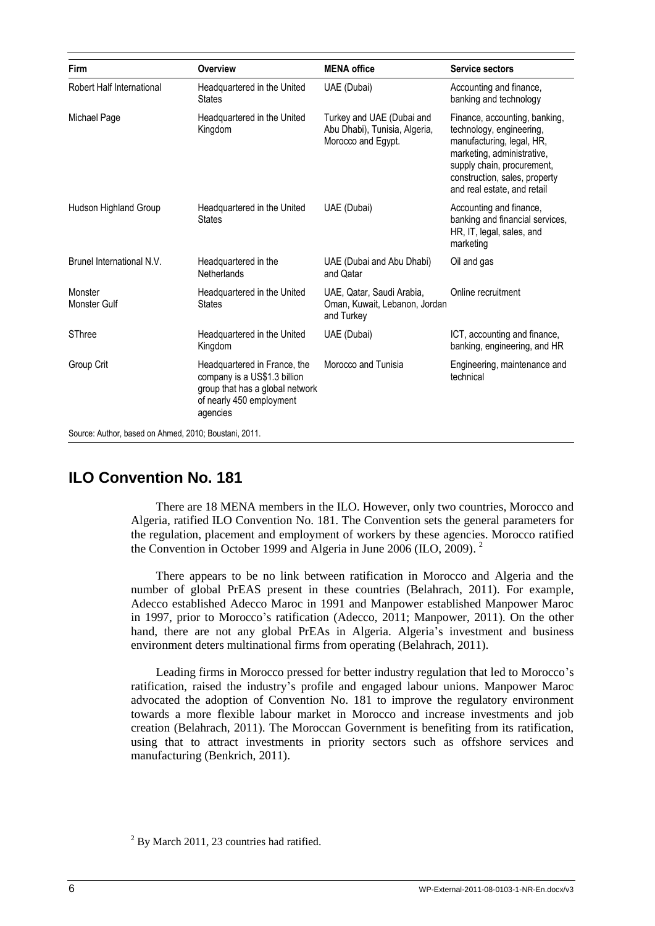| <b>Firm</b>                                           | Overview                                                                                                                                | <b>MENA</b> office                                                               | <b>Service sectors</b>                                                                                                                                                                                             |
|-------------------------------------------------------|-----------------------------------------------------------------------------------------------------------------------------------------|----------------------------------------------------------------------------------|--------------------------------------------------------------------------------------------------------------------------------------------------------------------------------------------------------------------|
| Robert Half International                             | Headquartered in the United<br><b>States</b>                                                                                            | UAE (Dubai)                                                                      | Accounting and finance,<br>banking and technology                                                                                                                                                                  |
| Michael Page                                          | Headquartered in the United<br>Kingdom                                                                                                  | Turkey and UAE (Dubai and<br>Abu Dhabi), Tunisia, Algeria,<br>Morocco and Egypt. | Finance, accounting, banking,<br>technology, engineering,<br>manufacturing, legal, HR,<br>marketing, administrative,<br>supply chain, procurement,<br>construction, sales, property<br>and real estate, and retail |
| Hudson Highland Group                                 | Headquartered in the United<br><b>States</b>                                                                                            | UAE (Dubai)                                                                      | Accounting and finance,<br>banking and financial services,<br>HR, IT, legal, sales, and<br>marketing                                                                                                               |
| Brunel International N.V.                             | Headquartered in the<br>Netherlands                                                                                                     | UAE (Dubai and Abu Dhabi)<br>and Qatar                                           | Oil and gas                                                                                                                                                                                                        |
| Monster<br><b>Monster Gulf</b>                        | Headquartered in the United<br><b>States</b>                                                                                            | UAE, Qatar, Saudi Arabia,<br>Oman, Kuwait, Lebanon, Jordan<br>and Turkey         | Online recruitment                                                                                                                                                                                                 |
| SThree                                                | Headquartered in the United<br>Kingdom                                                                                                  | UAE (Dubai)                                                                      | ICT, accounting and finance,<br>banking, engineering, and HR                                                                                                                                                       |
| Group Crit                                            | Headquartered in France, the<br>company is a US\$1.3 billion<br>group that has a global network<br>of nearly 450 employment<br>agencies | Morocco and Tunisia                                                              | Engineering, maintenance and<br>technical                                                                                                                                                                          |
| Source: Author, based on Ahmed, 2010; Boustani, 2011. |                                                                                                                                         |                                                                                  |                                                                                                                                                                                                                    |

# **ILO Convention No. 181**

There are 18 MENA members in the ILO. However, only two countries, Morocco and Algeria, ratified ILO Convention No. 181. The Convention sets the general parameters for the regulation, placement and employment of workers by these agencies. Morocco ratified the Convention in October 1999 and Algeria in June 2006 (ILO, 2009). 2

There appears to be no link between ratification in Morocco and Algeria and the number of global PrEAS present in these countries (Belahrach, 2011). For example, Adecco established Adecco Maroc in 1991 and Manpower established Manpower Maroc in 1997, prior to Morocco's ratification (Adecco, 2011; Manpower, 2011). On the other hand, there are not any global PrEAs in Algeria. Algeria's investment and business environment deters multinational firms from operating (Belahrach, 2011).

Leading firms in Morocco pressed for better industry regulation that led to Morocco's ratification, raised the industry's profile and engaged labour unions. Manpower Maroc advocated the adoption of Convention No. 181 to improve the regulatory environment towards a more flexible labour market in Morocco and increase investments and job creation (Belahrach, 2011). The Moroccan Government is benefiting from its ratification, using that to attract investments in priority sectors such as offshore services and manufacturing (Benkrich, 2011).

 $2$  By March 2011, 23 countries had ratified.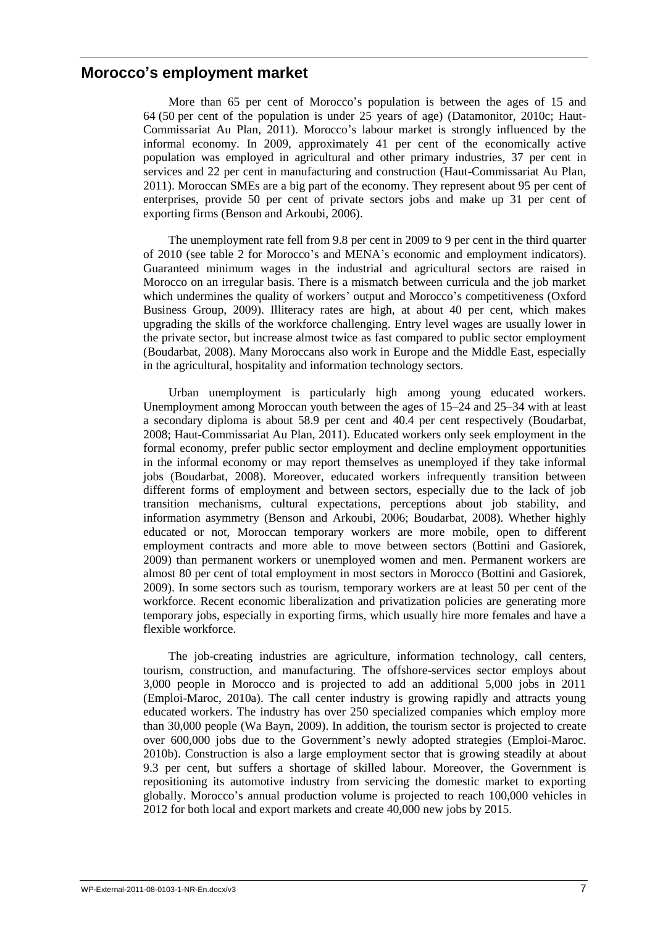### **Morocco's employment market**

More than 65 per cent of Morocco's population is between the ages of 15 and 64 (50 per cent of the population is under 25 years of age) (Datamonitor, 2010c; Haut-Commissariat Au Plan, 2011). Morocco's labour market is strongly influenced by the informal economy. In 2009, approximately 41 per cent of the economically active population was employed in agricultural and other primary industries, 37 per cent in services and 22 per cent in manufacturing and construction (Haut-Commissariat Au Plan, 2011). Moroccan SMEs are a big part of the economy. They represent about 95 per cent of enterprises, provide 50 per cent of private sectors jobs and make up 31 per cent of exporting firms (Benson and Arkoubi, 2006).

The unemployment rate fell from 9.8 per cent in 2009 to 9 per cent in the third quarter of 2010 (see table 2 for Morocco's and MENA's economic and employment indicators). Guaranteed minimum wages in the industrial and agricultural sectors are raised in Morocco on an irregular basis. There is a mismatch between curricula and the job market which undermines the quality of workers' output and Morocco's competitiveness (Oxford Business Group, 2009). Illiteracy rates are high, at about 40 per cent, which makes upgrading the skills of the workforce challenging. Entry level wages are usually lower in the private sector, but increase almost twice as fast compared to public sector employment (Boudarbat, 2008). Many Moroccans also work in Europe and the Middle East, especially in the agricultural, hospitality and information technology sectors.

Urban unemployment is particularly high among young educated workers. Unemployment among Moroccan youth between the ages of 15–24 and 25–34 with at least a secondary diploma is about 58.9 per cent and 40.4 per cent respectively (Boudarbat, 2008; Haut-Commissariat Au Plan, 2011). Educated workers only seek employment in the formal economy, prefer public sector employment and decline employment opportunities in the informal economy or may report themselves as unemployed if they take informal jobs (Boudarbat, 2008). Moreover, educated workers infrequently transition between different forms of employment and between sectors, especially due to the lack of job transition mechanisms, cultural expectations, perceptions about job stability, and information asymmetry (Benson and Arkoubi, 2006; Boudarbat, 2008). Whether highly educated or not, Moroccan temporary workers are more mobile, open to different employment contracts and more able to move between sectors (Bottini and Gasiorek, 2009) than permanent workers or unemployed women and men. Permanent workers are almost 80 per cent of total employment in most sectors in Morocco (Bottini and Gasiorek, 2009). In some sectors such as tourism, temporary workers are at least 50 per cent of the workforce. Recent economic liberalization and privatization policies are generating more temporary jobs, especially in exporting firms, which usually hire more females and have a flexible workforce.

The job-creating industries are agriculture, information technology, call centers, tourism, construction, and manufacturing. The offshore-services sector employs about 3,000 people in Morocco and is projected to add an additional 5,000 jobs in 2011 (Emploi-Maroc, 2010a). The call center industry is growing rapidly and attracts young educated workers. The industry has over 250 specialized companies which employ more than 30,000 people (Wa Bayn, 2009). In addition, the tourism sector is projected to create over 600,000 jobs due to the Government's newly adopted strategies (Emploi-Maroc. 2010b). Construction is also a large employment sector that is growing steadily at about 9.3 per cent, but suffers a shortage of skilled labour. Moreover, the Government is repositioning its automotive industry from servicing the domestic market to exporting globally. Morocco's annual production volume is projected to reach 100,000 vehicles in 2012 for both local and export markets and create 40,000 new jobs by 2015.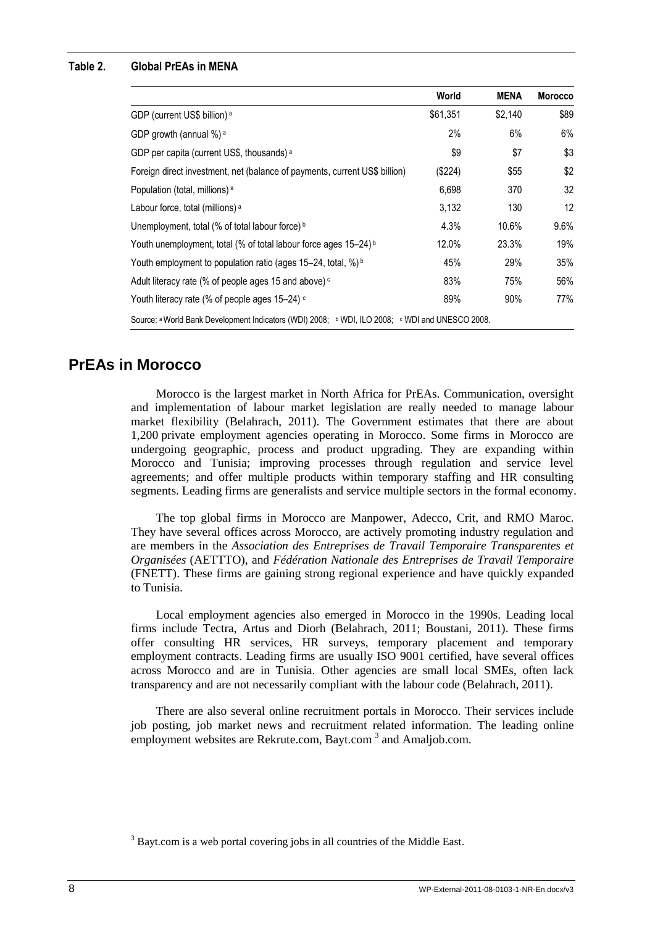#### **Table 2. Global PrEAs in MENA**

|                                                                                                 | World    | <b>MENA</b> | <b>Morocco</b>    |
|-------------------------------------------------------------------------------------------------|----------|-------------|-------------------|
| GDP (current US\$ billion) <sup>a</sup>                                                         | \$61,351 | \$2,140     | \$89              |
| GDP growth (annual %) <sup>a</sup>                                                              | 2%       | 6%          | 6%                |
| GDP per capita (current US\$, thousands) <sup>a</sup>                                           | \$9      | \$7         | \$3               |
| Foreign direct investment, net (balance of payments, current US\$ billion)                      | (\$224)  | \$55        | \$2               |
| Population (total, millions) <sup>a</sup>                                                       | 6,698    | 370         | 32                |
| Labour force, total (millions) <sup>a</sup>                                                     | 3,132    | 130         | $12 \overline{ }$ |
| Unemployment, total (% of total labour force) b                                                 | 4.3%     | 10.6%       | $9.6\%$           |
| Youth unemployment, total (% of total labour force ages 15-24) <sup>b</sup>                     | 12.0%    | 23.3%       | 19%               |
| Youth employment to population ratio (ages 15-24, total, %) <sup>b</sup>                        | 45%      | 29%         | 35%               |
| Adult literacy rate (% of people ages 15 and above) <sup>c</sup>                                | 83%      | 75%         | 56%               |
| Youth literacy rate (% of people ages 15-24) c                                                  | 89%      | 90%         | 77%               |
| Source: a World Bank Development Indicators (WDI) 2008; b WDI, ILO 2008; c WDI and UNESCO 2008. |          |             |                   |

### **PrEAs in Morocco**

Morocco is the largest market in North Africa for PrEAs. Communication, oversight and implementation of labour market legislation are really needed to manage labour market flexibility (Belahrach, 2011). The Government estimates that there are about 1,200 private employment agencies operating in Morocco. Some firms in Morocco are undergoing geographic, process and product upgrading. They are expanding within Morocco and Tunisia; improving processes through regulation and service level agreements; and offer multiple products within temporary staffing and HR consulting segments. Leading firms are generalists and service multiple sectors in the formal economy.

The top global firms in Morocco are Manpower, Adecco, Crit, and RMO Maroc. They have several offices across Morocco, are actively promoting industry regulation and are members in the *Association des Entreprises de Travail Temporaire Transparentes et Organisées* (AETTTO), and *Fédération Nationale des Entreprises de Travail Temporaire* (FNETT). These firms are gaining strong regional experience and have quickly expanded to Tunisia.

Local employment agencies also emerged in Morocco in the 1990s. Leading local firms include Tectra, Artus and Diorh (Belahrach, 2011; Boustani, 2011). These firms offer consulting HR services, HR surveys, temporary placement and temporary employment contracts. Leading firms are usually ISO 9001 certified, have several offices across Morocco and are in Tunisia. Other agencies are small local SMEs, often lack transparency and are not necessarily compliant with the labour code (Belahrach, 2011).

There are also several online recruitment portals in Morocco. Their services include job posting, job market news and recruitment related information. The leading online employment websites are Rekrute.com, Bayt.com<sup>3</sup> and Amaljob.com.

<sup>&</sup>lt;sup>3</sup> Bayt.com is a web portal covering jobs in all countries of the Middle East.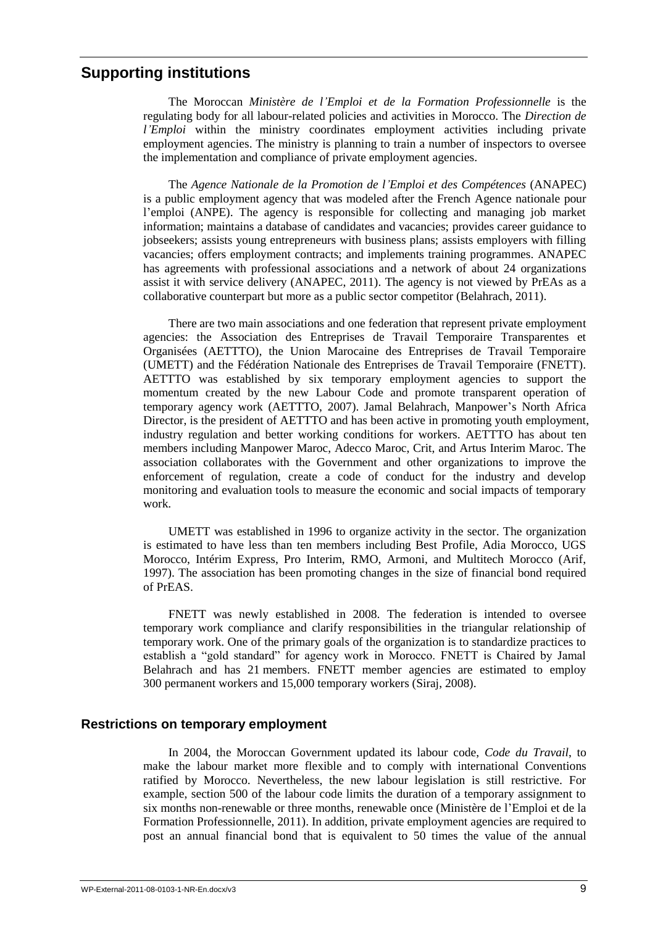### **Supporting institutions**

The Moroccan *Ministère de l'Emploi et de la Formation Professionnelle* is the regulating body for all labour-related policies and activities in Morocco. The *Direction de l'Emploi* within the ministry coordinates employment activities including private employment agencies. The ministry is planning to train a number of inspectors to oversee the implementation and compliance of private employment agencies.

The *Agence Nationale de la Promotion de l'Emploi et des Compétences* (ANAPEC) is a public employment agency that was modeled after the French Agence nationale pour l'emploi (ANPE). The agency is responsible for collecting and managing job market information; maintains a database of candidates and vacancies; provides career guidance to jobseekers; assists young entrepreneurs with business plans; assists employers with filling vacancies; offers employment contracts; and implements training programmes. ANAPEC has agreements with professional associations and a network of about 24 organizations assist it with service delivery (ANAPEC, 2011). The agency is not viewed by PrEAs as a collaborative counterpart but more as a public sector competitor (Belahrach, 2011).

There are two main associations and one federation that represent private employment agencies: the Association des Entreprises de Travail Temporaire Transparentes et Organisées (AETTTO), the Union Marocaine des Entreprises de Travail Temporaire (UMETT) and the Fédération Nationale des Entreprises de Travail Temporaire (FNETT). AETTTO was established by six temporary employment agencies to support the momentum created by the new Labour Code and promote transparent operation of temporary agency work (AETTTO, 2007). Jamal Belahrach, Manpower's North Africa Director, is the president of AETTTO and has been active in promoting youth employment, industry regulation and better working conditions for workers. AETTTO has about ten members including Manpower Maroc, Adecco Maroc, Crit, and Artus Interim Maroc. The association collaborates with the Government and other organizations to improve the enforcement of regulation, create a code of conduct for the industry and develop monitoring and evaluation tools to measure the economic and social impacts of temporary work.

UMETT was established in 1996 to organize activity in the sector. The organization is estimated to have less than ten members including Best Profile, Adia Morocco, UGS Morocco, Intérim Express, Pro Interim, RMO, Armoni, and Multitech Morocco (Arif, 1997). The association has been promoting changes in the size of financial bond required of PrEAS.

FNETT was newly established in 2008. The federation is intended to oversee temporary work compliance and clarify responsibilities in the triangular relationship of temporary work. One of the primary goals of the organization is to standardize practices to establish a "gold standard" for agency work in Morocco. FNETT is Chaired by Jamal Belahrach and has 21 members. FNETT member agencies are estimated to employ 300 permanent workers and 15,000 temporary workers (Siraj, 2008).

#### **Restrictions on temporary employment**

In 2004, the Moroccan Government updated its labour code, *Code du Travail*, to make the labour market more flexible and to comply with international Conventions ratified by Morocco. Nevertheless, the new labour legislation is still restrictive. For example, section 500 of the labour code limits the duration of a temporary assignment to six months non-renewable or three months, renewable once (Ministère de l'Emploi et de la Formation Professionnelle, 2011). In addition, private employment agencies are required to post an annual financial bond that is equivalent to 50 times the value of the annual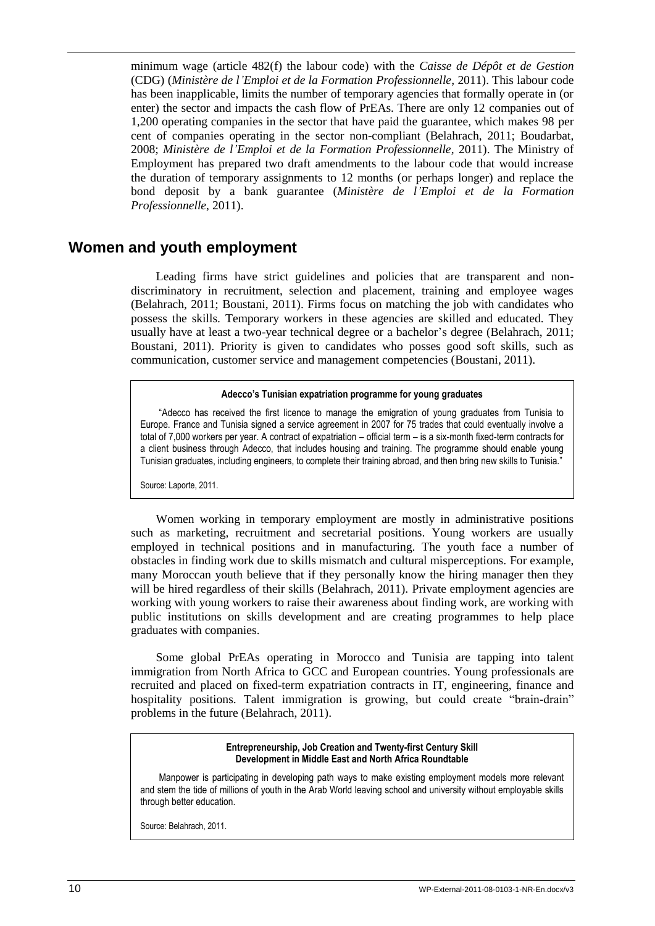minimum wage (article 482(f) the labour code) with the *Caisse de Dépôt et de Gestion* (CDG) (*Ministère de l'Emploi et de la Formation Professionnelle*, 2011). This labour code has been inapplicable, limits the number of temporary agencies that formally operate in (or enter) the sector and impacts the cash flow of PrEAs. There are only 12 companies out of 1,200 operating companies in the sector that have paid the guarantee, which makes 98 per cent of companies operating in the sector non-compliant (Belahrach, 2011; Boudarbat, 2008; *Ministère de l'Emploi et de la Formation Professionnelle*, 2011). The Ministry of Employment has prepared two draft amendments to the labour code that would increase the duration of temporary assignments to 12 months (or perhaps longer) and replace the bond deposit by a bank guarantee (*Ministère de l'Emploi et de la Formation Professionnelle*, 2011).

### **Women and youth employment**

Leading firms have strict guidelines and policies that are transparent and nondiscriminatory in recruitment, selection and placement, training and employee wages (Belahrach, 2011; Boustani, 2011). Firms focus on matching the job with candidates who possess the skills. Temporary workers in these agencies are skilled and educated. They usually have at least a two-year technical degree or a bachelor's degree (Belahrach, 2011; Boustani, 2011). Priority is given to candidates who posses good soft skills, such as communication, customer service and management competencies (Boustani, 2011).

#### **Adecco's Tunisian expatriation programme for young graduates**

"Adecco has received the first licence to manage the emigration of young graduates from Tunisia to Europe. France and Tunisia signed a service agreement in 2007 for 75 trades that could eventually involve a total of 7,000 workers per year. A contract of expatriation – official term – is a six-month fixed-term contracts for a client business through Adecco, that includes housing and training. The programme should enable young Tunisian graduates, including engineers, to complete their training abroad, and then bring new skills to Tunisia."

Source: Laporte, 2011.

Women working in temporary employment are mostly in administrative positions such as marketing, recruitment and secretarial positions. Young workers are usually employed in technical positions and in manufacturing. The youth face a number of obstacles in finding work due to skills mismatch and cultural misperceptions. For example, many Moroccan youth believe that if they personally know the hiring manager then they will be hired regardless of their skills (Belahrach, 2011). Private employment agencies are working with young workers to raise their awareness about finding work, are working with public institutions on skills development and are creating programmes to help place graduates with companies.

Some global PrEAs operating in Morocco and Tunisia are tapping into talent immigration from North Africa to GCC and European countries. Young professionals are recruited and placed on fixed-term expatriation contracts in IT, engineering, finance and hospitality positions. Talent immigration is growing, but could create "brain-drain" problems in the future (Belahrach, 2011).

> **Entrepreneurship, Job Creation and Twenty-first Century Skill Development in Middle East and North Africa Roundtable**

Manpower is participating in developing path ways to make existing employment models more relevant and stem the tide of millions of youth in the Arab World leaving school and university without employable skills through better education.

Source: Belahrach, 2011.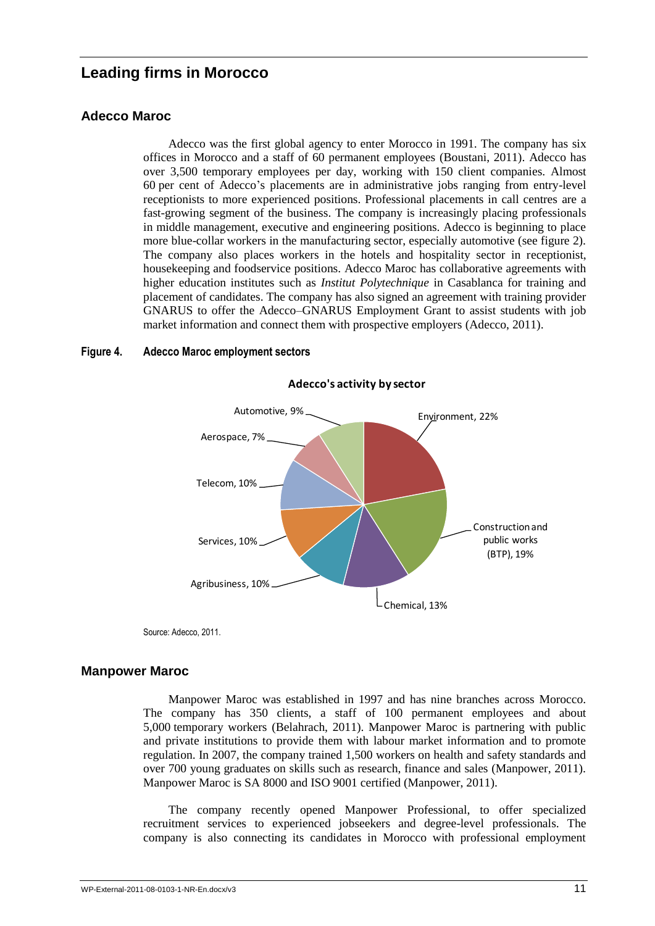# **Leading firms in Morocco**

#### **Adecco Maroc**

Adecco was the first global agency to enter Morocco in 1991. The company has six offices in Morocco and a staff of 60 permanent employees (Boustani, 2011). Adecco has over 3,500 temporary employees per day, working with 150 client companies. Almost 60 per cent of Adecco's placements are in administrative jobs ranging from entry-level receptionists to more experienced positions. Professional placements in call centres are a fast-growing segment of the business. The company is increasingly placing professionals in middle management, executive and engineering positions. Adecco is beginning to place more blue-collar workers in the manufacturing sector, especially automotive (see figure 2). The company also places workers in the hotels and hospitality sector in receptionist, housekeeping and foodservice positions. Adecco Maroc has collaborative agreements with higher education institutes such as *Institut Polytechnique* in Casablanca for training and placement of candidates. The company has also signed an agreement with training provider GNARUS to offer the Adecco–GNARUS Employment Grant to assist students with job market information and connect them with prospective employers (Adecco, 2011).

#### **Figure 4. Adecco Maroc employment sectors**



**Adecco's activity by sector**

Source: Adecco, 2011.

#### **Manpower Maroc**

Manpower Maroc was established in 1997 and has nine branches across Morocco. The company has 350 clients, a staff of 100 permanent employees and about 5,000 temporary workers (Belahrach, 2011). Manpower Maroc is partnering with public and private institutions to provide them with labour market information and to promote regulation. In 2007, the company trained 1,500 workers on health and safety standards and over 700 young graduates on skills such as research, finance and sales (Manpower, 2011). Manpower Maroc is SA 8000 and ISO 9001 certified (Manpower, 2011).

The company recently opened Manpower Professional, to offer specialized recruitment services to experienced jobseekers and degree-level professionals. The company is also connecting its candidates in Morocco with professional employment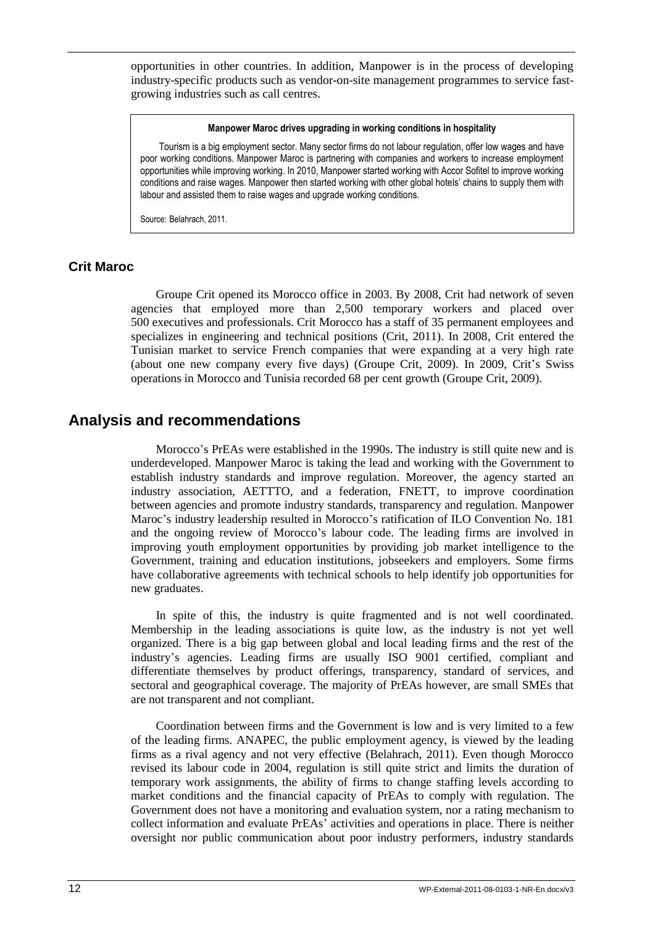opportunities in other countries. In addition, Manpower is in the process of developing industry-specific products such as vendor-on-site management programmes to service fastgrowing industries such as call centres.

#### **Manpower Maroc drives upgrading in working conditions in hospitality**

Tourism is a big employment sector. Many sector firms do not labour regulation, offer low wages and have poor working conditions. Manpower Maroc is partnering with companies and workers to increase employment opportunities while improving working. In 2010, Manpower started working with Accor Sofitel to improve working conditions and raise wages. Manpower then started working with other global hotels' chains to supply them with labour and assisted them to raise wages and upgrade working conditions.

Source: Belahrach, 2011.

#### **Crit Maroc**

Groupe Crit opened its Morocco office in 2003. By 2008, Crit had network of seven agencies that employed more than 2,500 temporary workers and placed over 500 executives and professionals. Crit Morocco has a staff of 35 permanent employees and specializes in engineering and technical positions (Crit, 2011). In 2008, Crit entered the Tunisian market to service French companies that were expanding at a very high rate (about one new company every five days) (Groupe Crit, 2009). In 2009, Crit's Swiss operations in Morocco and Tunisia recorded 68 per cent growth (Groupe Crit, 2009).

### **Analysis and recommendations**

Morocco's PrEAs were established in the 1990s. The industry is still quite new and is underdeveloped. Manpower Maroc is taking the lead and working with the Government to establish industry standards and improve regulation. Moreover, the agency started an industry association, AETTTO, and a federation, FNETT, to improve coordination between agencies and promote industry standards, transparency and regulation. Manpower Maroc's industry leadership resulted in Morocco's ratification of ILO Convention No. 181 and the ongoing review of Morocco's labour code. The leading firms are involved in improving youth employment opportunities by providing job market intelligence to the Government, training and education institutions, jobseekers and employers. Some firms have collaborative agreements with technical schools to help identify job opportunities for new graduates.

In spite of this, the industry is quite fragmented and is not well coordinated. Membership in the leading associations is quite low, as the industry is not yet well organized. There is a big gap between global and local leading firms and the rest of the industry's agencies. Leading firms are usually ISO 9001 certified, compliant and differentiate themselves by product offerings, transparency, standard of services, and sectoral and geographical coverage. The majority of PrEAs however, are small SMEs that are not transparent and not compliant.

Coordination between firms and the Government is low and is very limited to a few of the leading firms. ANAPEC, the public employment agency, is viewed by the leading firms as a rival agency and not very effective (Belahrach, 2011). Even though Morocco revised its labour code in 2004, regulation is still quite strict and limits the duration of temporary work assignments, the ability of firms to change staffing levels according to market conditions and the financial capacity of PrEAs to comply with regulation. The Government does not have a monitoring and evaluation system, nor a rating mechanism to collect information and evaluate PrEAs' activities and operations in place. There is neither oversight nor public communication about poor industry performers, industry standards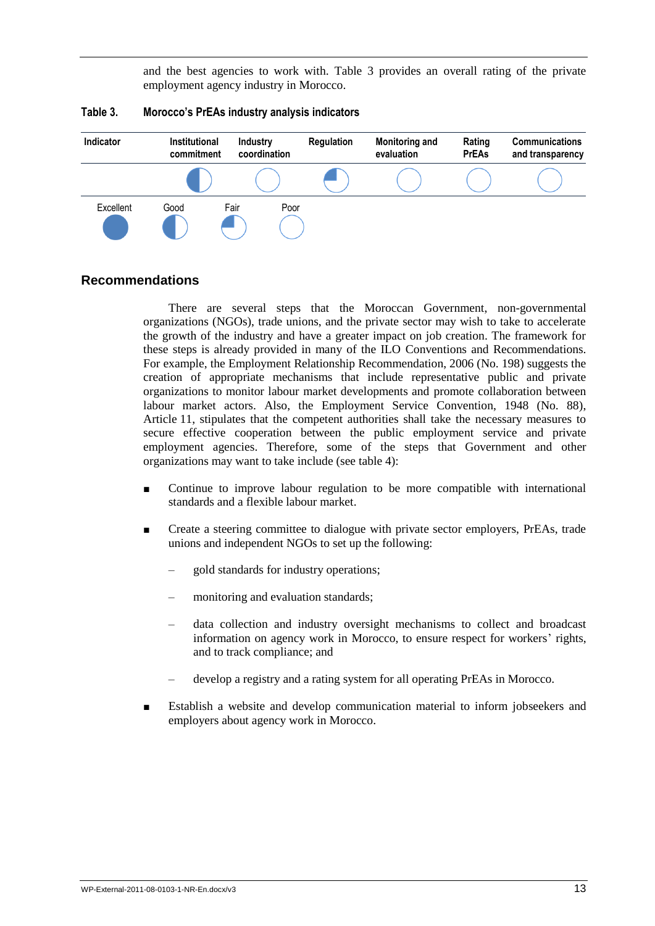and the best agencies to work with. Table 3 provides an overall rating of the private employment agency industry in Morocco.

| Indicator | <b>Institutional</b><br>commitment | <b>Industry</b><br>coordination | Regulation | <b>Monitoring and</b><br>evaluation | Rating<br><b>PrEAs</b> | <b>Communications</b><br>and transparency |
|-----------|------------------------------------|---------------------------------|------------|-------------------------------------|------------------------|-------------------------------------------|
|           |                                    |                                 |            |                                     |                        |                                           |
| Excellent | Good                               | Fair<br>Poor                    |            |                                     |                        |                                           |

#### **Table 3. Morocco's PrEAs industry analysis indicators**

#### **Recommendations**

There are several steps that the Moroccan Government, non-governmental organizations (NGOs), trade unions, and the private sector may wish to take to accelerate the growth of the industry and have a greater impact on job creation. The framework for these steps is already provided in many of the ILO Conventions and Recommendations. For example, the Employment Relationship Recommendation, 2006 (No. 198) suggests the creation of appropriate mechanisms that include representative public and private organizations to monitor labour market developments and promote collaboration between labour market actors. Also, the Employment Service Convention, 1948 (No. 88), Article 11, stipulates that the competent authorities shall take the necessary measures to secure effective cooperation between the public employment service and private employment agencies. Therefore, some of the steps that Government and other organizations may want to take include (see table 4):

- Continue to improve labour regulation to be more compatible with international standards and a flexible labour market.
- Create a steering committee to dialogue with private sector employers, PrEAs, trade unions and independent NGOs to set up the following:
	- gold standards for industry operations;
	- monitoring and evaluation standards;
	- data collection and industry oversight mechanisms to collect and broadcast information on agency work in Morocco, to ensure respect for workers' rights, and to track compliance; and
	- develop a registry and a rating system for all operating PrEAs in Morocco.
- Establish a website and develop communication material to inform jobseekers and employers about agency work in Morocco.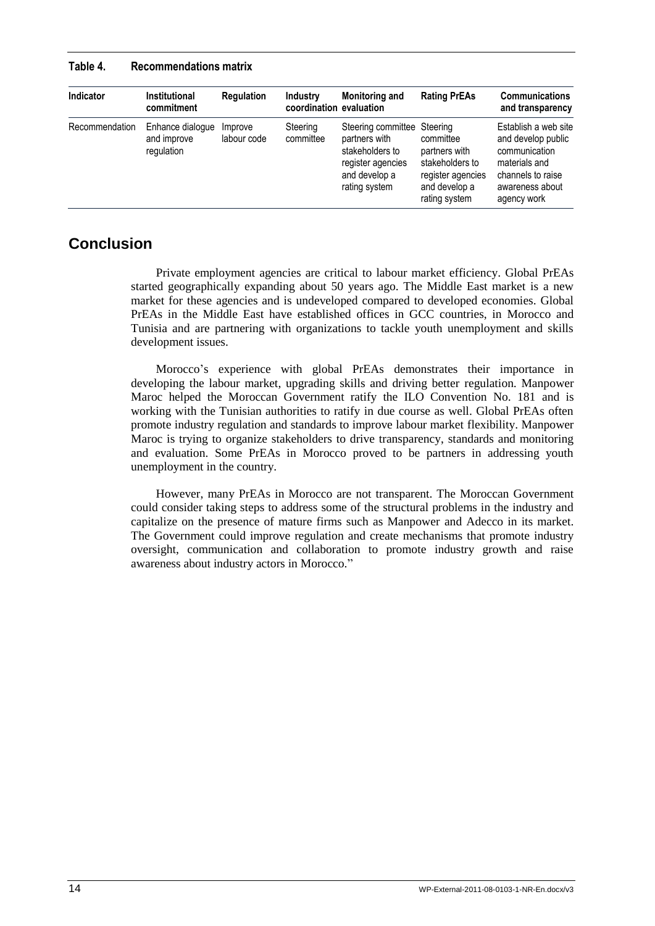| Indicator      | <b>Institutional</b><br>commitment            | <b>Regulation</b>      | Industry<br>coordination evaluation | <b>Monitoring and</b>                                                                                                  | <b>Rating PrEAs</b>                                                                                  | <b>Communications</b><br>and transparency                                                                                           |
|----------------|-----------------------------------------------|------------------------|-------------------------------------|------------------------------------------------------------------------------------------------------------------------|------------------------------------------------------------------------------------------------------|-------------------------------------------------------------------------------------------------------------------------------------|
| Recommendation | Enhance dialogue<br>and improve<br>regulation | Improve<br>labour code | Steering<br>committee               | Steering committee Steering<br>partners with<br>stakeholders to<br>register agencies<br>and develop a<br>rating system | committee<br>partners with<br>stakeholders to<br>register agencies<br>and develop a<br>rating system | Establish a web site<br>and develop public<br>communication<br>materials and<br>channels to raise<br>awareness about<br>agency work |

#### **Table 4. Recommendations matrix**

# **Conclusion**

Private employment agencies are critical to labour market efficiency. Global PrEAs started geographically expanding about 50 years ago. The Middle East market is a new market for these agencies and is undeveloped compared to developed economies. Global PrEAs in the Middle East have established offices in GCC countries, in Morocco and Tunisia and are partnering with organizations to tackle youth unemployment and skills development issues.

Morocco's experience with global PrEAs demonstrates their importance in developing the labour market, upgrading skills and driving better regulation. Manpower Maroc helped the Moroccan Government ratify the ILO Convention No. 181 and is working with the Tunisian authorities to ratify in due course as well. Global PrEAs often promote industry regulation and standards to improve labour market flexibility. Manpower Maroc is trying to organize stakeholders to drive transparency, standards and monitoring and evaluation. Some PrEAs in Morocco proved to be partners in addressing youth unemployment in the country.

However, many PrEAs in Morocco are not transparent. The Moroccan Government could consider taking steps to address some of the structural problems in the industry and capitalize on the presence of mature firms such as Manpower and Adecco in its market. The Government could improve regulation and create mechanisms that promote industry oversight, communication and collaboration to promote industry growth and raise awareness about industry actors in Morocco."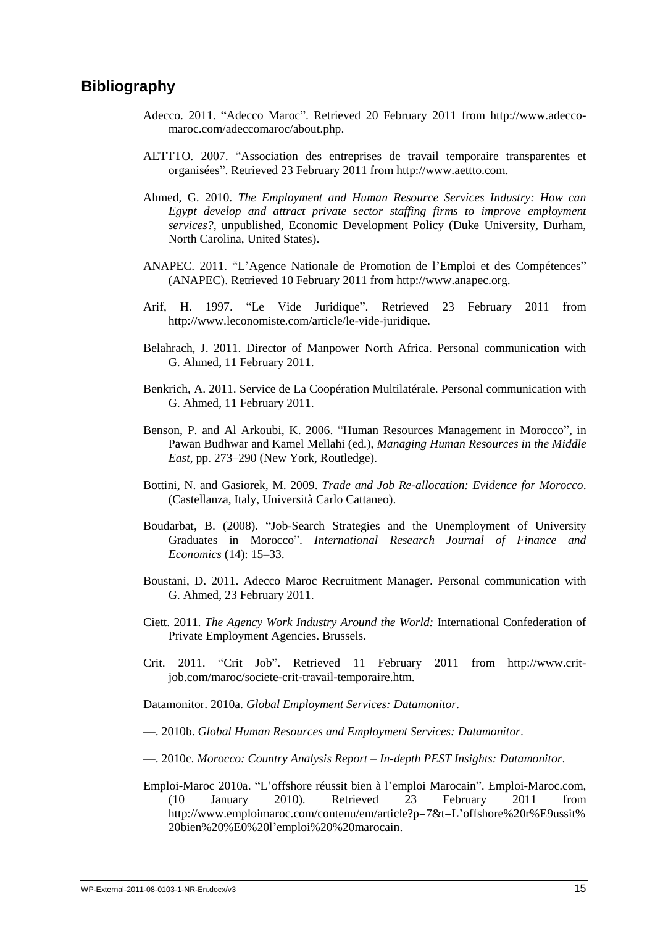### **Bibliography**

- Adecco. 2011. "Adecco Maroc". Retrieved 20 February 2011 from http://www.adeccomaroc.com/adeccomaroc/about.php.
- AETTTO. 2007. "Association des entreprises de travail temporaire transparentes et organisées‖. Retrieved 23 February 2011 from http://www.aettto.com.
- Ahmed, G. 2010. *The Employment and Human Resource Services Industry: How can Egypt develop and attract private sector staffing firms to improve employment services?*, unpublished, Economic Development Policy (Duke University, Durham, North Carolina, United States).
- ANAPEC. 2011. "L'Agence Nationale de Promotion de l'Emploi et des Compétences" (ANAPEC). Retrieved 10 February 2011 from http://www.anapec.org.
- Arif, H. 1997. "Le Vide Juridique". Retrieved 23 February 2011 from http://www.leconomiste.com/article/le-vide-juridique.
- Belahrach, J. 2011. Director of Manpower North Africa. Personal communication with G. Ahmed, 11 February 2011.
- Benkrich, A. 2011. Service de La Coopération Multilatérale. Personal communication with G. Ahmed, 11 February 2011.
- Benson, P. and Al Arkoubi, K. 2006. "Human Resources Management in Morocco", in Pawan Budhwar and Kamel Mellahi (ed.), *Managing Human Resources in the Middle East*, pp. 273–290 (New York, Routledge).
- Bottini, N. and Gasiorek, M. 2009. *Trade and Job Re-allocation: Evidence for Morocco*. (Castellanza, Italy, Università Carlo Cattaneo).
- Boudarbat, B. (2008). "Job-Search Strategies and the Unemployment of University Graduates in Morocco‖. *International Research Journal of Finance and Economics* (14): 15–33.
- Boustani, D. 2011. Adecco Maroc Recruitment Manager. Personal communication with G. Ahmed, 23 February 2011.
- Ciett. 2011. *The Agency Work Industry Around the World:* International Confederation of Private Employment Agencies. Brussels.
- Crit. 2011. "Crit Job". Retrieved 11 February 2011 from http://www.critjob.com/maroc/societe-crit-travail-temporaire.htm.

Datamonitor. 2010a. *Global Employment Services: Datamonitor*.

—. 2010b. *Global Human Resources and Employment Services: Datamonitor*.

—. 2010c. *Morocco: Country Analysis Report – In-depth PEST Insights: Datamonitor*.

Emploi-Maroc 2010a. "L'offshore réussit bien à l'emploi Marocain". Emploi-Maroc.com, (10 January 2010). Retrieved 23 February 2011 from http://www.emploimaroc.com/contenu/em/article?p=7&t=L'offshore%20r%E9ussit% 20bien%20%E0%20l'emploi%20%20marocain.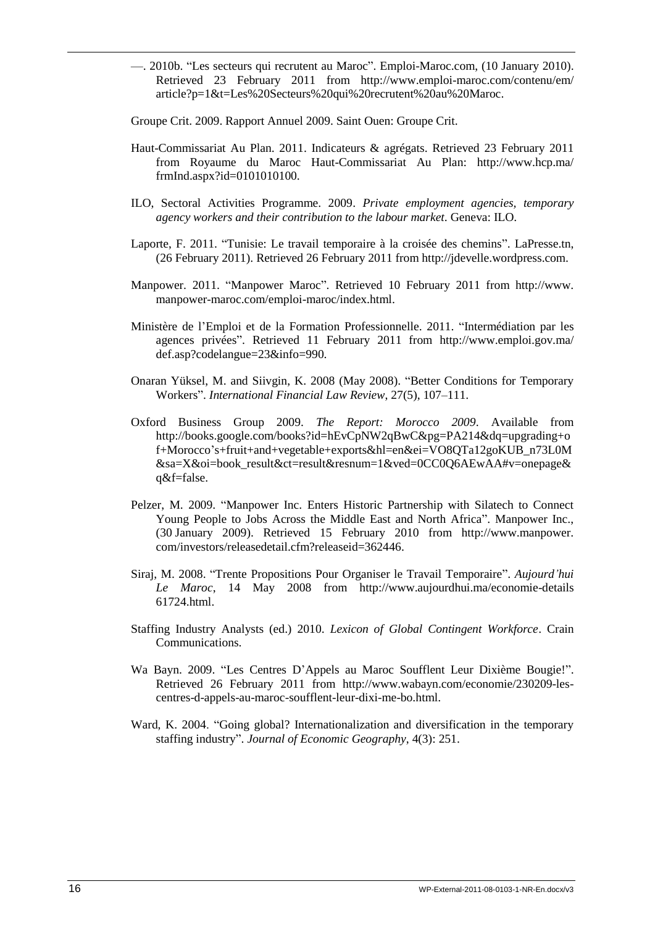—. 2010b. ―Les secteurs qui recrutent au Maroc‖. Emploi-Maroc.com, (10 January 2010). Retrieved 23 February 2011 from http://www.emploi-maroc.com/contenu/em/ article?p=1&t=Les%20Secteurs%20qui%20recrutent%20au%20Maroc.

Groupe Crit. 2009. Rapport Annuel 2009. Saint Ouen: Groupe Crit.

- Haut-Commissariat Au Plan. 2011. Indicateurs & agrégats. Retrieved 23 February 2011 from Royaume du Maroc Haut-Commissariat Au Plan: http://www.hcp.ma/ frmInd.aspx?id=0101010100.
- ILO, Sectoral Activities Programme. 2009. *Private employment agencies, temporary agency workers and their contribution to the labour market*. Geneva: ILO.
- Laporte, F. 2011. "Tunisie: Le travail temporaire à la croisée des chemins". LaPresse.tn, (26 February 2011). Retrieved 26 February 2011 from http://jdevelle.wordpress.com.
- Manpower. 2011. "Manpower Maroc". Retrieved 10 February 2011 from http://www. manpower-maroc.com/emploi-maroc/index.html.
- Ministère de l'Emploi et de la Formation Professionnelle. 2011. "Intermédiation par les agences privées". Retrieved 11 February 2011 from http://www.emploi.gov.ma/ def.asp?codelangue=23&info=990.
- Onaran Yüksel, M. and Siivgin, K. 2008 (May 2008). "Better Conditions for Temporary Workers‖. *International Financial Law Review*, 27(5), 107–111.
- Oxford Business Group 2009. *The Report: Morocco 2009*. Available from http://books.google.com/books?id=hEvCpNW2qBwC&pg=PA214&dq=upgrading+o f+Morocco's+fruit+and+vegetable+exports&hl=en&ei=VO8QTa12goKUB\_n73L0M &sa=X&oi=book\_result&ct=result&resnum=1&ved=0CC0Q6AEwAA#v=onepage& q&f=false.
- Pelzer, M. 2009. "Manpower Inc. Enters Historic Partnership with Silatech to Connect Young People to Jobs Across the Middle East and North Africa". Manpower Inc., (30 January 2009). Retrieved 15 February 2010 from http://www.manpower. com/investors/releasedetail.cfm?releaseid=362446.
- Siraj, M. 2008. "Trente Propositions Pour Organiser le Travail Temporaire". *Aujourd'hui Le Maroc*, 14 May 2008 from http://www.aujourdhui.ma/economie-details 61724.html.
- Staffing Industry Analysts (ed.) 2010. *Lexicon of Global Contingent Workforce*. Crain Communications.
- Wa Bayn. 2009. "Les Centres D'Appels au Maroc Soufflent Leur Dixième Bougie!". Retrieved 26 February 2011 from http://www.wabayn.com/economie/230209-lescentres-d-appels-au-maroc-soufflent-leur-dixi-me-bo.html.
- Ward, K. 2004. "Going global? Internationalization and diversification in the temporary staffing industry". *Journal of Economic Geography*, 4(3): 251.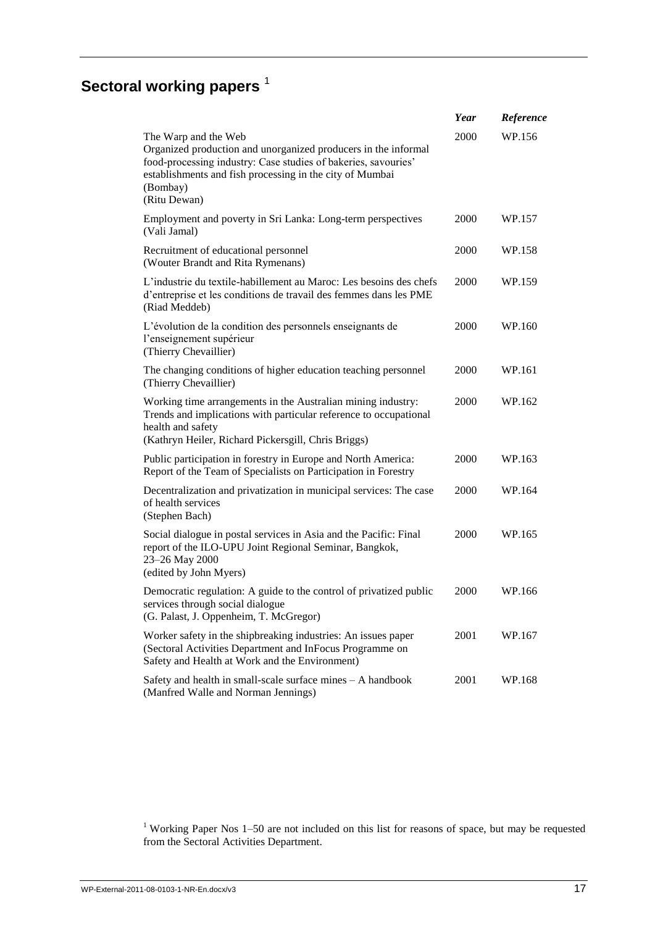# **Sectoral working papers**<sup>1</sup>

|                                                                                                                                                                                                                                                  | Year | Reference |
|--------------------------------------------------------------------------------------------------------------------------------------------------------------------------------------------------------------------------------------------------|------|-----------|
| The Warp and the Web<br>Organized production and unorganized producers in the informal<br>food-processing industry: Case studies of bakeries, savouries'<br>establishments and fish processing in the city of Mumbai<br>(Bombay)<br>(Ritu Dewan) | 2000 | WP.156    |
| Employment and poverty in Sri Lanka: Long-term perspectives<br>(Vali Jamal)                                                                                                                                                                      | 2000 | WP.157    |
| Recruitment of educational personnel<br>(Wouter Brandt and Rita Rymenans)                                                                                                                                                                        | 2000 | WP.158    |
| L'industrie du textile-habillement au Maroc: Les besoins des chefs<br>d'entreprise et les conditions de travail des femmes dans les PME<br>(Riad Meddeb)                                                                                         | 2000 | WP.159    |
| L'évolution de la condition des personnels enseignants de<br>l'enseignement supérieur<br>(Thierry Chevaillier)                                                                                                                                   | 2000 | WP.160    |
| The changing conditions of higher education teaching personnel<br>(Thierry Chevaillier)                                                                                                                                                          | 2000 | WP.161    |
| Working time arrangements in the Australian mining industry:<br>Trends and implications with particular reference to occupational<br>health and safety                                                                                           | 2000 | WP.162    |
| (Kathryn Heiler, Richard Pickersgill, Chris Briggs)<br>Public participation in forestry in Europe and North America:                                                                                                                             | 2000 | WP.163    |
| Report of the Team of Specialists on Participation in Forestry                                                                                                                                                                                   |      |           |
| Decentralization and privatization in municipal services: The case<br>of health services<br>(Stephen Bach)                                                                                                                                       | 2000 | WP.164    |
| Social dialogue in postal services in Asia and the Pacific: Final<br>report of the ILO-UPU Joint Regional Seminar, Bangkok,<br>23-26 May 2000<br>(edited by John Myers)                                                                          | 2000 | WP.165    |
| Democratic regulation: A guide to the control of privatized public<br>services through social dialogue<br>(G. Palast, J. Oppenheim, T. McGregor)                                                                                                 | 2000 | WP.166    |
| Worker safety in the shipbreaking industries: An issues paper<br>(Sectoral Activities Department and InFocus Programme on<br>Safety and Health at Work and the Environment)                                                                      | 2001 | WP.167    |
| Safety and health in small-scale surface mines - A handbook<br>(Manfred Walle and Norman Jennings)                                                                                                                                               | 2001 | WP.168    |

<sup>1</sup> Working Paper Nos  $1-50$  are not included on this list for reasons of space, but may be requested from the Sectoral Activities Department.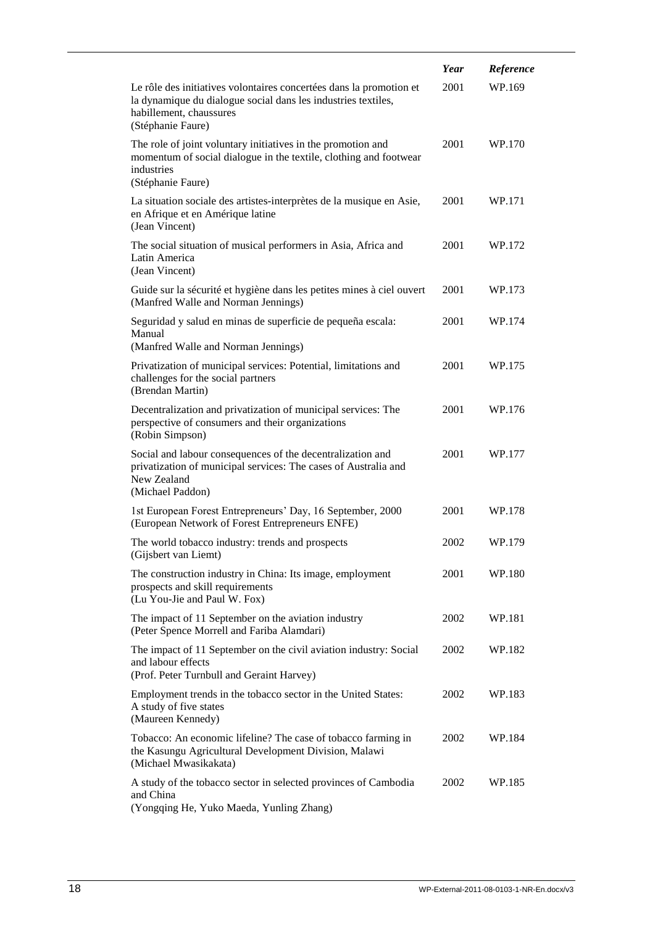|                                                                                                                                                                                      | Year | Reference |
|--------------------------------------------------------------------------------------------------------------------------------------------------------------------------------------|------|-----------|
| Le rôle des initiatives volontaires concertées dans la promotion et<br>la dynamique du dialogue social dans les industries textiles,<br>habillement, chaussures<br>(Stéphanie Faure) | 2001 | WP.169    |
| The role of joint voluntary initiatives in the promotion and<br>momentum of social dialogue in the textile, clothing and footwear<br>industries<br>(Stéphanie Faure)                 | 2001 | WP.170    |
| La situation sociale des artistes-interprètes de la musique en Asie,<br>en Afrique et en Amérique latine<br>(Jean Vincent)                                                           | 2001 | WP.171    |
| The social situation of musical performers in Asia, Africa and<br>Latin America<br>(Jean Vincent)                                                                                    | 2001 | WP.172    |
| Guide sur la sécurité et hygiène dans les petites mines à ciel ouvert<br>(Manfred Walle and Norman Jennings)                                                                         | 2001 | WP.173    |
| Seguridad y salud en minas de superficie de pequeña escala:<br>Manual<br>(Manfred Walle and Norman Jennings)                                                                         | 2001 | WP.174    |
| Privatization of municipal services: Potential, limitations and<br>challenges for the social partners<br>(Brendan Martin)                                                            | 2001 | WP.175    |
| Decentralization and privatization of municipal services: The<br>perspective of consumers and their organizations<br>(Robin Simpson)                                                 | 2001 | WP.176    |
| Social and labour consequences of the decentralization and<br>privatization of municipal services: The cases of Australia and<br>New Zealand<br>(Michael Paddon)                     | 2001 | WP.177    |
| 1st European Forest Entrepreneurs' Day, 16 September, 2000<br>(European Network of Forest Entrepreneurs ENFE)                                                                        | 2001 | WP.178    |
| The world tobacco industry: trends and prospects<br>(Gijsbert van Liemt)                                                                                                             | 2002 | WP.179    |
| The construction industry in China: Its image, employment<br>prospects and skill requirements<br>(Lu You-Jie and Paul W. Fox)                                                        | 2001 | WP.180    |
| The impact of 11 September on the aviation industry<br>(Peter Spence Morrell and Fariba Alamdari)                                                                                    | 2002 | WP.181    |
| The impact of 11 September on the civil aviation industry: Social<br>and labour effects<br>(Prof. Peter Turnbull and Geraint Harvey)                                                 | 2002 | WP.182    |
| Employment trends in the tobacco sector in the United States:<br>A study of five states<br>(Maureen Kennedy)                                                                         | 2002 | WP.183    |
| Tobacco: An economic lifeline? The case of tobacco farming in<br>the Kasungu Agricultural Development Division, Malawi<br>(Michael Mwasikakata)                                      | 2002 | WP.184    |
| A study of the tobacco sector in selected provinces of Cambodia<br>and China<br>(Yongqing He, Yuko Maeda, Yunling Zhang)                                                             | 2002 | WP.185    |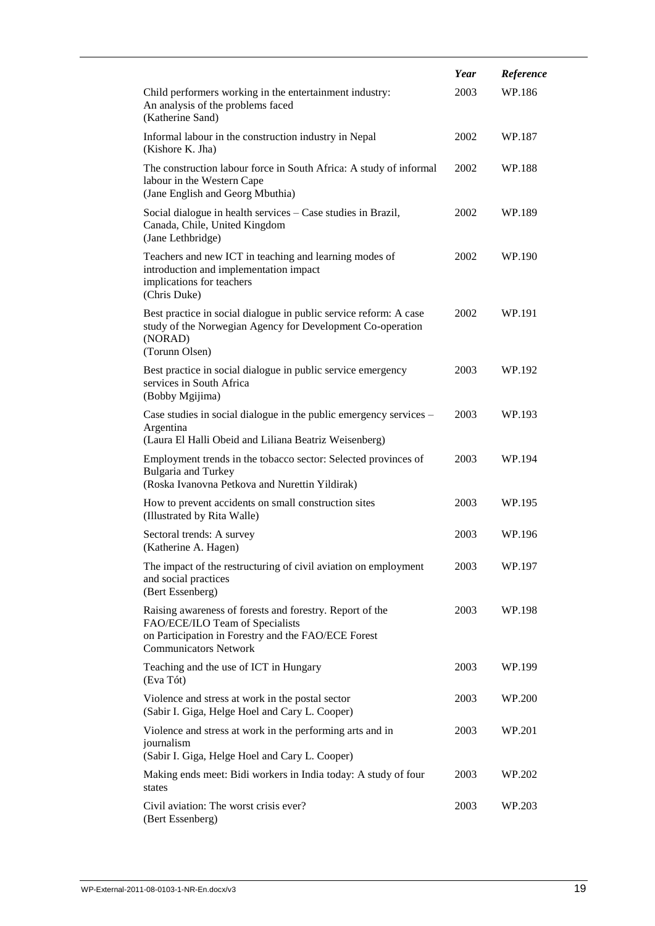|                                                                                                                                                                                    | Year | Reference |
|------------------------------------------------------------------------------------------------------------------------------------------------------------------------------------|------|-----------|
| Child performers working in the entertainment industry:<br>An analysis of the problems faced<br>(Katherine Sand)                                                                   | 2003 | WP.186    |
| Informal labour in the construction industry in Nepal<br>(Kishore K. Jha)                                                                                                          | 2002 | WP.187    |
| The construction labour force in South Africa: A study of informal<br>labour in the Western Cape<br>(Jane English and Georg Mbuthia)                                               | 2002 | WP.188    |
| Social dialogue in health services - Case studies in Brazil,<br>Canada, Chile, United Kingdom<br>(Jane Lethbridge)                                                                 | 2002 | WP.189    |
| Teachers and new ICT in teaching and learning modes of<br>introduction and implementation impact<br>implications for teachers<br>(Chris Duke)                                      | 2002 | WP.190    |
| Best practice in social dialogue in public service reform: A case<br>study of the Norwegian Agency for Development Co-operation<br>(NORAD)<br>(Torunn Olsen)                       | 2002 | WP.191    |
| Best practice in social dialogue in public service emergency<br>services in South Africa<br>(Bobby Mgijima)                                                                        | 2003 | WP.192    |
| Case studies in social dialogue in the public emergency services –<br>Argentina<br>(Laura El Halli Obeid and Liliana Beatriz Weisenberg)                                           | 2003 | WP.193    |
| Employment trends in the tobacco sector: Selected provinces of<br><b>Bulgaria and Turkey</b><br>(Roska Ivanovna Petkova and Nurettin Yildirak)                                     | 2003 | WP.194    |
| How to prevent accidents on small construction sites<br>(Illustrated by Rita Walle)                                                                                                | 2003 | WP.195    |
| Sectoral trends: A survey<br>(Katherine A. Hagen)                                                                                                                                  | 2003 | WP.196    |
| The impact of the restructuring of civil aviation on employment<br>and social practices<br>(Bert Essenberg)                                                                        | 2003 | WP.197    |
| Raising awareness of forests and forestry. Report of the<br>FAO/ECE/ILO Team of Specialists<br>on Participation in Forestry and the FAO/ECE Forest<br><b>Communicators Network</b> | 2003 | WP.198    |
| Teaching and the use of ICT in Hungary<br>(Eva Tót)                                                                                                                                | 2003 | WP.199    |
| Violence and stress at work in the postal sector<br>(Sabir I. Giga, Helge Hoel and Cary L. Cooper)                                                                                 | 2003 | WP.200    |
| Violence and stress at work in the performing arts and in<br>journalism<br>(Sabir I. Giga, Helge Hoel and Cary L. Cooper)                                                          | 2003 | WP.201    |
| Making ends meet: Bidi workers in India today: A study of four<br>states                                                                                                           | 2003 | WP.202    |
| Civil aviation: The worst crisis ever?<br>(Bert Essenberg)                                                                                                                         | 2003 | WP.203    |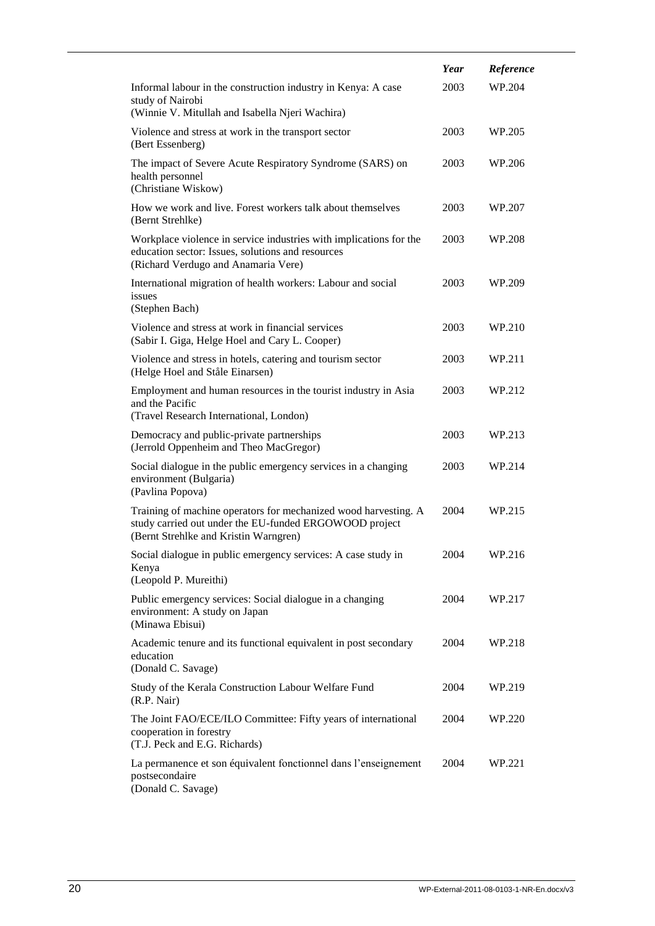|                                                                                                                                                                    | Year | Reference |
|--------------------------------------------------------------------------------------------------------------------------------------------------------------------|------|-----------|
| Informal labour in the construction industry in Kenya: A case<br>study of Nairobi                                                                                  | 2003 | WP.204    |
| (Winnie V. Mitullah and Isabella Njeri Wachira)                                                                                                                    |      |           |
| Violence and stress at work in the transport sector<br>(Bert Essenberg)                                                                                            | 2003 | WP.205    |
| The impact of Severe Acute Respiratory Syndrome (SARS) on<br>health personnel<br>(Christiane Wiskow)                                                               | 2003 | WP.206    |
| How we work and live. Forest workers talk about themselves<br>(Bernt Strehlke)                                                                                     | 2003 | WP.207    |
| Workplace violence in service industries with implications for the<br>education sector: Issues, solutions and resources<br>(Richard Verdugo and Anamaria Vere)     | 2003 | WP.208    |
| International migration of health workers: Labour and social<br>issues<br>(Stephen Bach)                                                                           | 2003 | WP.209    |
| Violence and stress at work in financial services<br>(Sabir I. Giga, Helge Hoel and Cary L. Cooper)                                                                | 2003 | WP.210    |
| Violence and stress in hotels, catering and tourism sector<br>(Helge Hoel and Ståle Einarsen)                                                                      | 2003 | WP.211    |
| Employment and human resources in the tourist industry in Asia<br>and the Pacific<br>(Travel Research International, London)                                       | 2003 | WP.212    |
| Democracy and public-private partnerships<br>(Jerrold Oppenheim and Theo MacGregor)                                                                                | 2003 | WP.213    |
| Social dialogue in the public emergency services in a changing<br>environment (Bulgaria)<br>(Pavlina Popova)                                                       | 2003 | WP.214    |
| Training of machine operators for mechanized wood harvesting. A<br>study carried out under the EU-funded ERGOWOOD project<br>(Bernt Strehlke and Kristin Warngren) | 2004 | WP.215    |
| Social dialogue in public emergency services: A case study in<br>Kenya                                                                                             | 2004 | WP.216    |
| (Leopold P. Mureithi)<br>Public emergency services: Social dialogue in a changing<br>environment: A study on Japan<br>(Minawa Ebisui)                              | 2004 | WP.217    |
| Academic tenure and its functional equivalent in post secondary<br>education<br>(Donald C. Savage)                                                                 | 2004 | WP.218    |
| Study of the Kerala Construction Labour Welfare Fund<br>(R.P. Nair)                                                                                                | 2004 | WP.219    |
| The Joint FAO/ECE/ILO Committee: Fifty years of international<br>cooperation in forestry<br>(T.J. Peck and E.G. Richards)                                          | 2004 | WP.220    |
| La permanence et son équivalent fonctionnel dans l'enseignement<br>postsecondaire<br>(Donald C. Savage)                                                            | 2004 | WP.221    |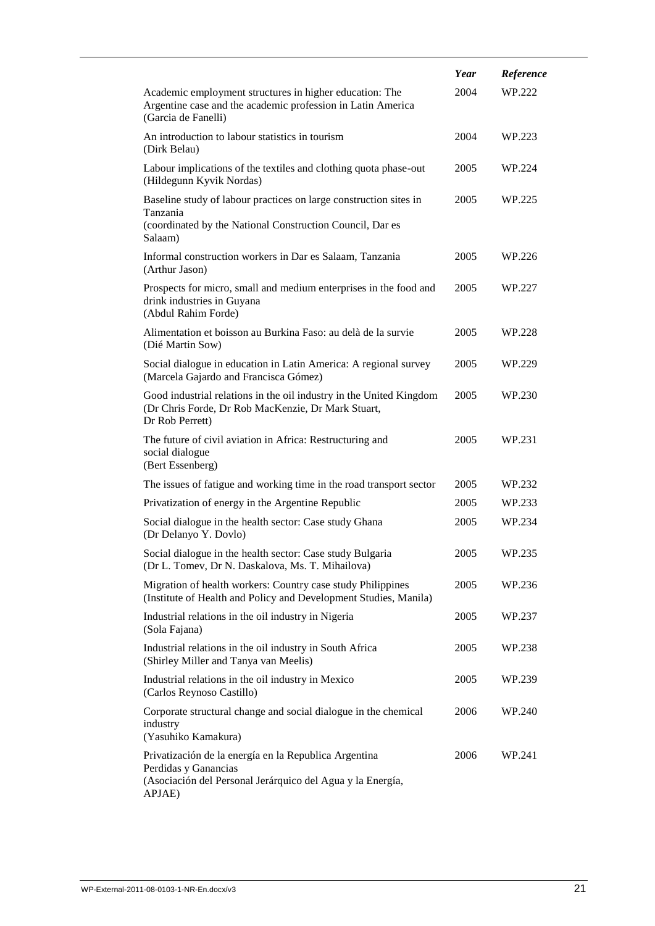|                                                                                                                                                       | Year | Reference |
|-------------------------------------------------------------------------------------------------------------------------------------------------------|------|-----------|
| Academic employment structures in higher education: The<br>Argentine case and the academic profession in Latin America<br>(Garcia de Fanelli)         | 2004 | WP.222    |
| An introduction to labour statistics in tourism<br>(Dirk Belau)                                                                                       | 2004 | WP.223    |
| Labour implications of the textiles and clothing quota phase-out<br>(Hildegunn Kyvik Nordas)                                                          | 2005 | WP.224    |
| Baseline study of labour practices on large construction sites in<br>Tanzania<br>(coordinated by the National Construction Council, Dar es<br>Salaam) | 2005 | WP.225    |
| Informal construction workers in Dar es Salaam, Tanzania<br>(Arthur Jason)                                                                            | 2005 | WP.226    |
| Prospects for micro, small and medium enterprises in the food and<br>drink industries in Guyana<br>(Abdul Rahim Forde)                                | 2005 | WP.227    |
| Alimentation et boisson au Burkina Faso: au delà de la survie<br>(Dié Martin Sow)                                                                     | 2005 | WP.228    |
| Social dialogue in education in Latin America: A regional survey<br>(Marcela Gajardo and Francisca Gómez)                                             | 2005 | WP.229    |
| Good industrial relations in the oil industry in the United Kingdom<br>(Dr Chris Forde, Dr Rob MacKenzie, Dr Mark Stuart,<br>Dr Rob Perrett)          | 2005 | WP.230    |
| The future of civil aviation in Africa: Restructuring and<br>social dialogue<br>(Bert Essenberg)                                                      | 2005 | WP.231    |
| The issues of fatigue and working time in the road transport sector                                                                                   | 2005 | WP.232    |
| Privatization of energy in the Argentine Republic                                                                                                     | 2005 | WP.233    |
| Social dialogue in the health sector: Case study Ghana<br>(Dr Delanyo Y. Dovlo)                                                                       | 2005 | WP.234    |
| Social dialogue in the health sector: Case study Bulgaria<br>(Dr L. Tomev, Dr N. Daskalova, Ms. T. Mihailova)                                         | 2005 | WP.235    |
| Migration of health workers: Country case study Philippines<br>(Institute of Health and Policy and Development Studies, Manila)                       | 2005 | WP.236    |
| Industrial relations in the oil industry in Nigeria<br>(Sola Fajana)                                                                                  | 2005 | WP.237    |
| Industrial relations in the oil industry in South Africa<br>(Shirley Miller and Tanya van Meelis)                                                     | 2005 | WP.238    |
| Industrial relations in the oil industry in Mexico<br>(Carlos Reynoso Castillo)                                                                       | 2005 | WP.239    |
| Corporate structural change and social dialogue in the chemical<br>industry<br>(Yasuhiko Kamakura)                                                    | 2006 | WP.240    |
| Privatización de la energía en la Republica Argentina<br>Perdidas y Ganancias<br>(Asociación del Personal Jerárquico del Agua y la Energía,<br>APJAE) | 2006 | WP.241    |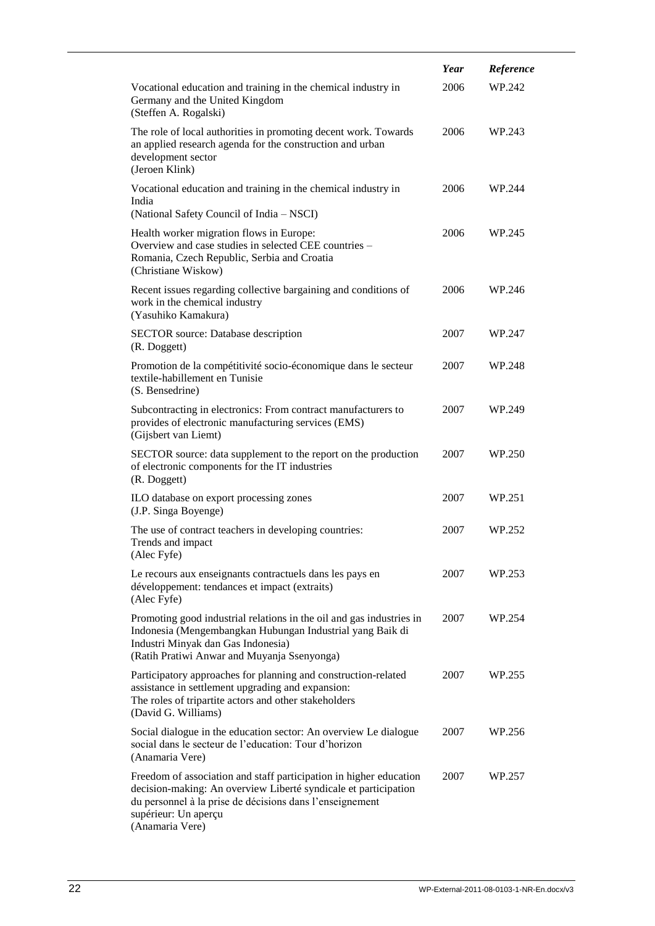|                                                                                                                                                                                                                                              | Year | Reference |
|----------------------------------------------------------------------------------------------------------------------------------------------------------------------------------------------------------------------------------------------|------|-----------|
| Vocational education and training in the chemical industry in<br>Germany and the United Kingdom<br>(Steffen A. Rogalski)                                                                                                                     | 2006 | WP.242    |
| The role of local authorities in promoting decent work. Towards<br>an applied research agenda for the construction and urban<br>development sector<br>(Jeroen Klink)                                                                         | 2006 | WP.243    |
| Vocational education and training in the chemical industry in<br>India<br>(National Safety Council of India – NSCI)                                                                                                                          | 2006 | WP.244    |
| Health worker migration flows in Europe:<br>Overview and case studies in selected CEE countries -<br>Romania, Czech Republic, Serbia and Croatia<br>(Christiane Wiskow)                                                                      | 2006 | WP.245    |
| Recent issues regarding collective bargaining and conditions of<br>work in the chemical industry<br>(Yasuhiko Kamakura)                                                                                                                      | 2006 | WP.246    |
| <b>SECTOR</b> source: Database description<br>(R. Doggett)                                                                                                                                                                                   | 2007 | WP.247    |
| Promotion de la compétitivité socio-économique dans le secteur<br>textile-habillement en Tunisie<br>(S. Bensedrine)                                                                                                                          | 2007 | WP.248    |
| Subcontracting in electronics: From contract manufacturers to<br>provides of electronic manufacturing services (EMS)<br>(Gijsbert van Liemt)                                                                                                 | 2007 | WP.249    |
| SECTOR source: data supplement to the report on the production<br>of electronic components for the IT industries<br>(R. Doggett)                                                                                                             | 2007 | WP.250    |
| ILO database on export processing zones<br>(J.P. Singa Boyenge)                                                                                                                                                                              | 2007 | WP.251    |
| The use of contract teachers in developing countries:<br>Trends and impact<br>(Alec Fyfe)                                                                                                                                                    | 2007 | WP.252    |
| Le recours aux enseignants contractuels dans les pays en<br>développement: tendances et impact (extraits)<br>(Alec Fyfe)                                                                                                                     | 2007 | WP.253    |
| Promoting good industrial relations in the oil and gas industries in<br>Indonesia (Mengembangkan Hubungan Industrial yang Baik di<br>Industri Minyak dan Gas Indonesia)<br>(Ratih Pratiwi Anwar and Muyanja Ssenyonga)                       | 2007 | WP.254    |
| Participatory approaches for planning and construction-related<br>assistance in settlement upgrading and expansion:<br>The roles of tripartite actors and other stakeholders<br>(David G. Williams)                                          | 2007 | WP.255    |
| Social dialogue in the education sector: An overview Le dialogue<br>social dans le secteur de l'education: Tour d'horizon<br>(Anamaria Vere)                                                                                                 | 2007 | WP.256    |
| Freedom of association and staff participation in higher education<br>decision-making: An overview Liberté syndicale et participation<br>du personnel à la prise de décisions dans l'enseignement<br>supérieur: Un aperçu<br>(Anamaria Vere) | 2007 | WP.257    |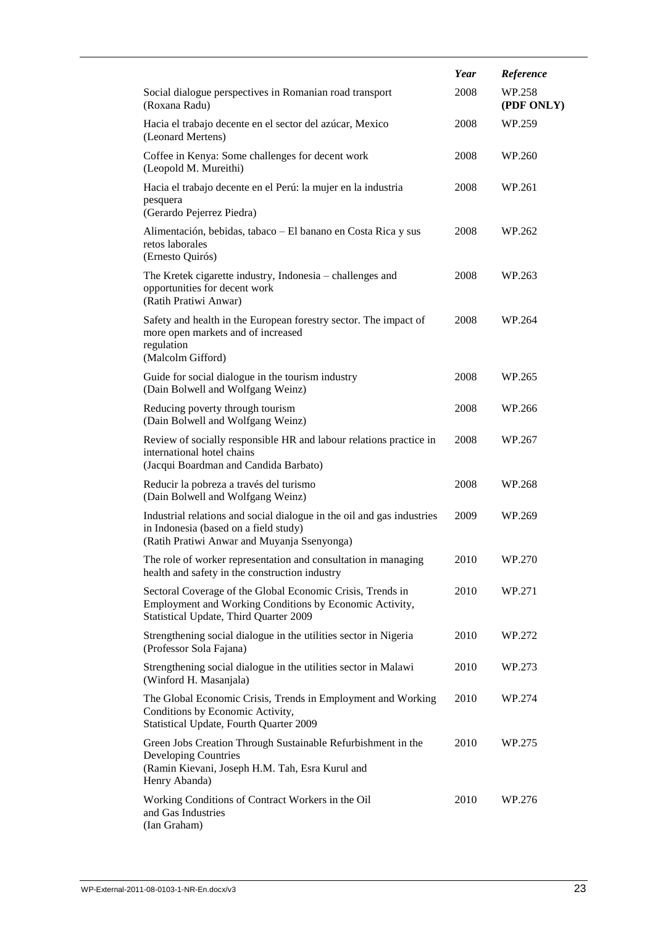|                                                                                                                                                                 | Year | Reference            |
|-----------------------------------------------------------------------------------------------------------------------------------------------------------------|------|----------------------|
| Social dialogue perspectives in Romanian road transport<br>(Roxana Radu)                                                                                        | 2008 | WP.258<br>(PDF ONLY) |
| Hacia el trabajo decente en el sector del azúcar, Mexico<br>(Leonard Mertens)                                                                                   | 2008 | WP.259               |
| Coffee in Kenya: Some challenges for decent work<br>(Leopold M. Mureithi)                                                                                       | 2008 | WP.260               |
| Hacia el trabajo decente en el Perú: la mujer en la industria<br>pesquera<br>(Gerardo Pejerrez Piedra)                                                          | 2008 | WP.261               |
| Alimentación, bebidas, tabaco - El banano en Costa Rica y sus<br>retos laborales<br>(Ernesto Quirós)                                                            | 2008 | WP.262               |
| The Kretek cigarette industry, Indonesia - challenges and<br>opportunities for decent work<br>(Ratih Pratiwi Anwar)                                             | 2008 | WP.263               |
| Safety and health in the European forestry sector. The impact of<br>more open markets and of increased<br>regulation<br>(Malcolm Gifford)                       | 2008 | WP.264               |
| Guide for social dialogue in the tourism industry<br>(Dain Bolwell and Wolfgang Weinz)                                                                          | 2008 | WP.265               |
| Reducing poverty through tourism<br>(Dain Bolwell and Wolfgang Weinz)                                                                                           | 2008 | WP.266               |
| Review of socially responsible HR and labour relations practice in<br>international hotel chains<br>(Jacqui Boardman and Candida Barbato)                       | 2008 | WP.267               |
| Reducir la pobreza a través del turismo<br>(Dain Bolwell and Wolfgang Weinz)                                                                                    | 2008 | WP.268               |
| Industrial relations and social dialogue in the oil and gas industries<br>in Indonesia (based on a field study)<br>(Ratih Pratiwi Anwar and Muyanja Ssenyonga)  | 2009 | WP.269               |
| The role of worker representation and consultation in managing<br>health and safety in the construction industry                                                | 2010 | WP.270               |
| Sectoral Coverage of the Global Economic Crisis, Trends in<br>Employment and Working Conditions by Economic Activity,<br>Statistical Update, Third Quarter 2009 | 2010 | WP.271               |
| Strengthening social dialogue in the utilities sector in Nigeria<br>(Professor Sola Fajana)                                                                     | 2010 | WP.272               |
| Strengthening social dialogue in the utilities sector in Malawi<br>(Winford H. Masanjala)                                                                       | 2010 | WP.273               |
| The Global Economic Crisis, Trends in Employment and Working<br>Conditions by Economic Activity,<br>Statistical Update, Fourth Quarter 2009                     | 2010 | WP.274               |
| Green Jobs Creation Through Sustainable Refurbishment in the<br><b>Developing Countries</b><br>(Ramin Kievani, Joseph H.M. Tah, Esra Kurul and<br>Henry Abanda) | 2010 | WP.275               |
| Working Conditions of Contract Workers in the Oil<br>and Gas Industries<br>(Ian Graham)                                                                         | 2010 | WP.276               |